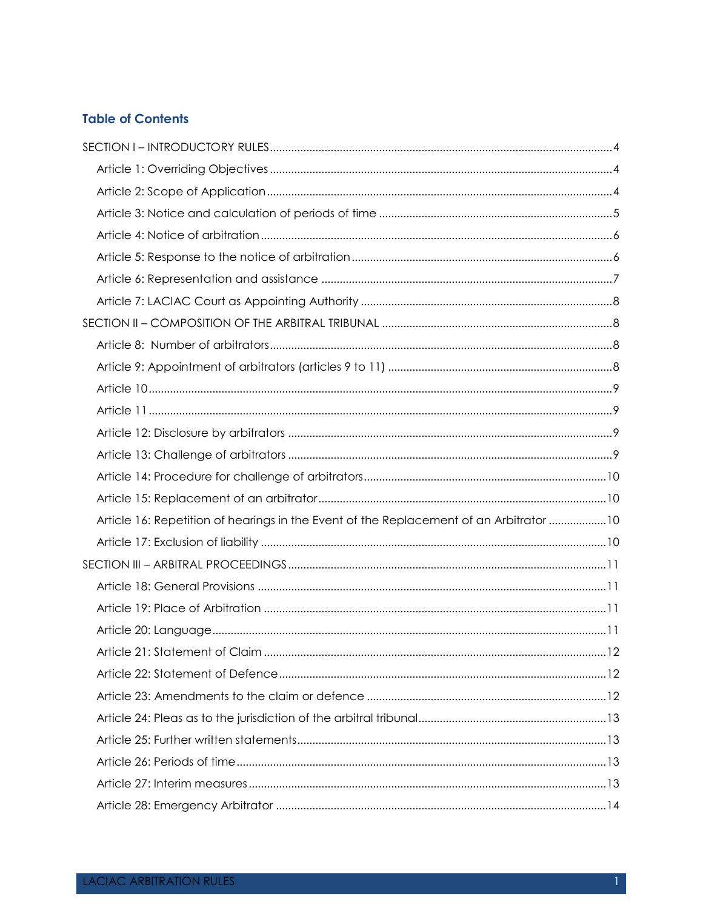# **Table of Contents**

| Article 16: Repetition of hearings in the Event of the Replacement of an Arbitrator 10 |  |
|----------------------------------------------------------------------------------------|--|
|                                                                                        |  |
|                                                                                        |  |
|                                                                                        |  |
|                                                                                        |  |
|                                                                                        |  |
|                                                                                        |  |
|                                                                                        |  |
|                                                                                        |  |
|                                                                                        |  |
|                                                                                        |  |
|                                                                                        |  |
|                                                                                        |  |
|                                                                                        |  |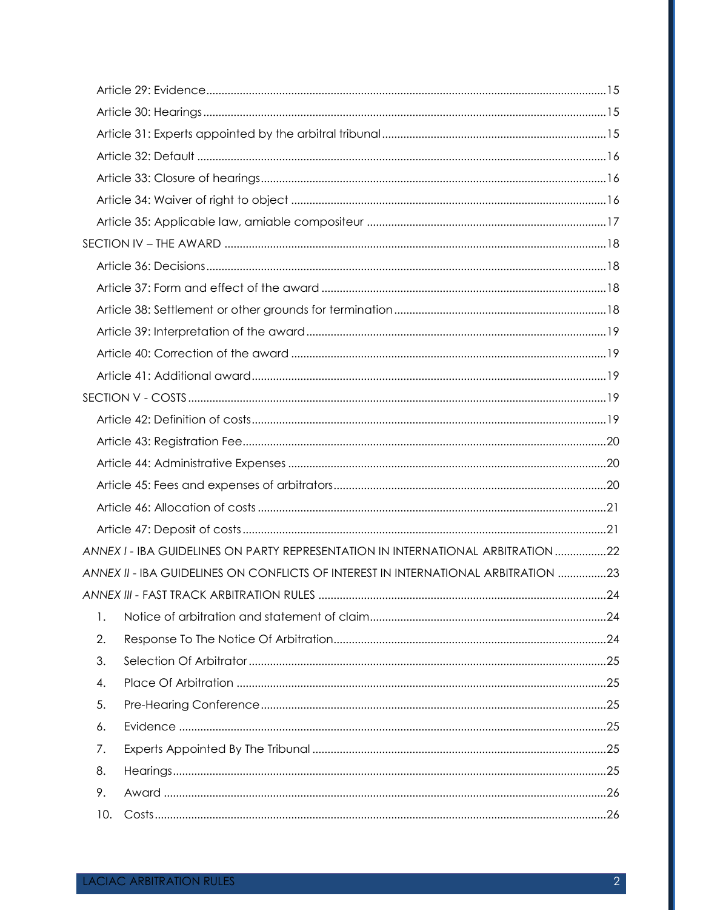|    |     | ANNEX I - IBA GUIDELINES ON PARTY REPRESENTATION IN INTERNATIONAL ARBITRATION 22   |    |
|----|-----|------------------------------------------------------------------------------------|----|
|    |     | ANNEX II - IBA GUIDELINES ON CONFLICTS OF INTEREST IN INTERNATIONAL ARBITRATION 23 |    |
|    |     | ANNEX III - FAST TRACK ARBITRATION RUI FS                                          | 24 |
|    | 1.  |                                                                                    |    |
| 2. |     |                                                                                    |    |
| 3. |     |                                                                                    |    |
| 4. |     |                                                                                    |    |
| 5. |     |                                                                                    |    |
| 6. |     |                                                                                    |    |
| 7. |     |                                                                                    |    |
| 8. |     |                                                                                    |    |
| 9. |     |                                                                                    |    |
|    | 10. |                                                                                    |    |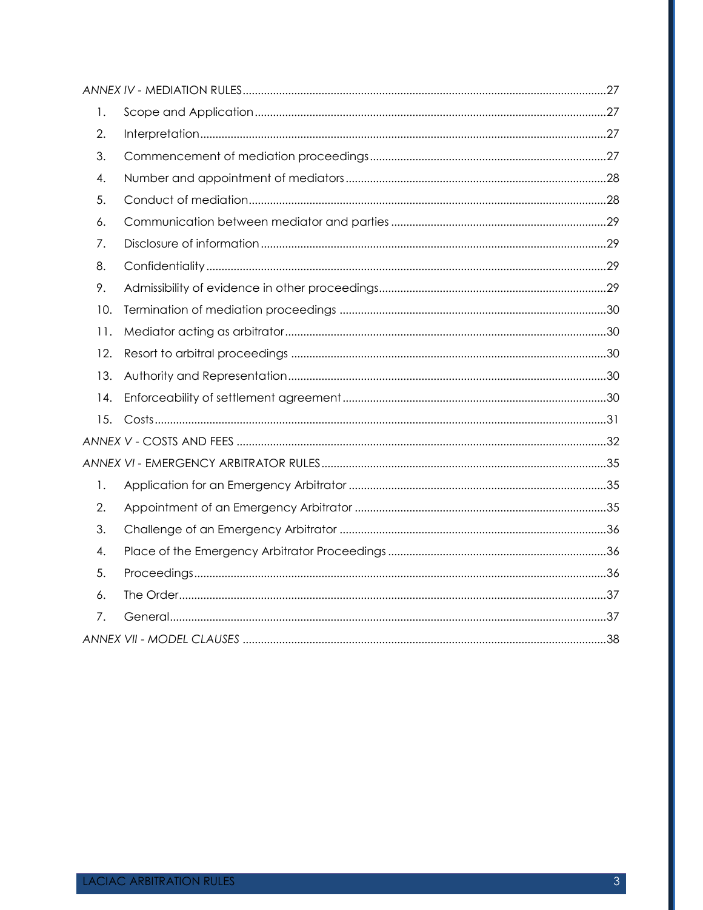| 1.  |    |
|-----|----|
| 2.  |    |
| 3.  |    |
| 4.  |    |
| 5.  |    |
| 6.  |    |
| 7.  |    |
| 8.  |    |
| 9.  |    |
| 10. |    |
| 11. |    |
| 12. |    |
| 13. |    |
| 14. |    |
| 15. |    |
|     |    |
|     |    |
| 1.  |    |
| 2.  |    |
| 3.  |    |
| 4.  |    |
| 5.  |    |
| 6.  |    |
| 7.  |    |
|     | 38 |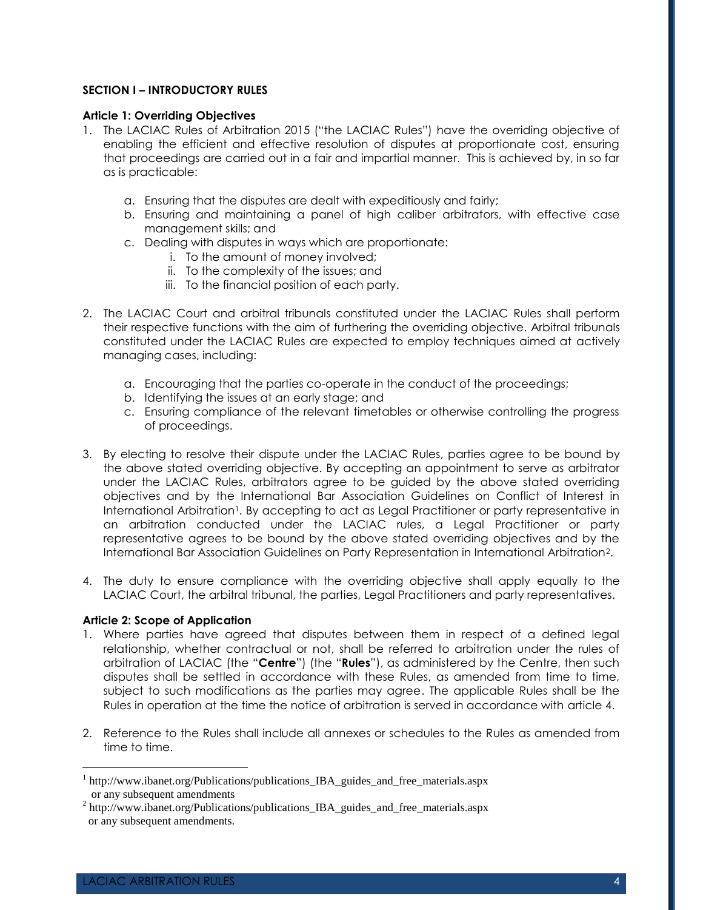## **SECTION I – INTRODUCTORY RULES**

## **Article 1: Overriding Objectives**

- 1. The LACIAC Rules of Arbitration 2015 ("the LACIAC Rules") have the overriding objective of enabling the efficient and effective resolution of disputes at proportionate cost, ensuring that proceedings are carried out in a fair and impartial manner. This is achieved by, in so far as is practicable:
	- a. Ensuring that the disputes are dealt with expeditiously and fairly;
	- b. Ensuring and maintaining a panel of high caliber arbitrators, with effective case management skills; and
	- c. Dealing with disputes in ways which are proportionate:
		- i. To the amount of money involved;
		- ii. To the complexity of the issues; and
		- iii. To the financial position of each party.
- 2. The LACIAC Court and arbitral tribunals constituted under the LACIAC Rules shall perform their respective functions with the aim of furthering the overriding objective. Arbitral tribunals constituted under the LACIAC Rules are expected to employ techniques aimed at actively managing cases, including:
	- a. Encouraging that the parties co-operate in the conduct of the proceedings;
	- b. Identifying the issues at an early stage; and
	- c. Ensuring compliance of the relevant timetables or otherwise controlling the progress of proceedings.
- 3. By electing to resolve their dispute under the LACIAC Rules, parties agree to be bound by the above stated overriding objective. By accepting an appointment to serve as arbitrator under the LACIAC Rules, arbitrators agree to be guided by the above stated overriding objectives and by the International Bar Association Guidelines on Conflict of Interest in International Arbitration<sup>1</sup>. By accepting to act as Legal Practitioner or party representative in an arbitration conducted under the LACIAC rules, a Legal Practitioner or party representative agrees to be bound by the above stated overriding objectives and by the International Bar Association Guidelines on Party Representation in International Arbitration2.
- 4. The duty to ensure compliance with the overriding objective shall apply equally to the LACIAC Court, the arbitral tribunal, the parties, Legal Practitioners and party representatives.

## **Article 2: Scope of Application**

- 1. Where parties have agreed that disputes between them in respect of a defined legal relationship, whether contractual or not, shall be referred to arbitration under the rules of arbitration of LACIAC (the "**Centre**") (the "**Rules**"), as administered by the Centre, then such disputes shall be settled in accordance with these Rules, as amended from time to time, subject to such modifications as the parties may agree. The applicable Rules shall be the Rules in operation at the time the notice of arbitration is served in accordance with article 4.
- 2. Reference to the Rules shall include all annexes or schedules to the Rules as amended from time to time.

 $\overline{a}$ 

<sup>&</sup>lt;sup>1</sup> [http://www.ibanet.org/Publications/publications\\_IBA\\_guides\\_and\\_free\\_materials.aspx](http://www.ibanet.org/Publications/publications_IBA_guides_and_free_materials.aspx) or any subsequent amendments

<sup>&</sup>lt;sup>2</sup> [http://www.ibanet.org/Publications/publications\\_IBA\\_guides\\_and\\_free\\_materials.aspx](http://www.ibanet.org/Publications/publications_IBA_guides_and_free_materials.aspx) or any subsequent amendments.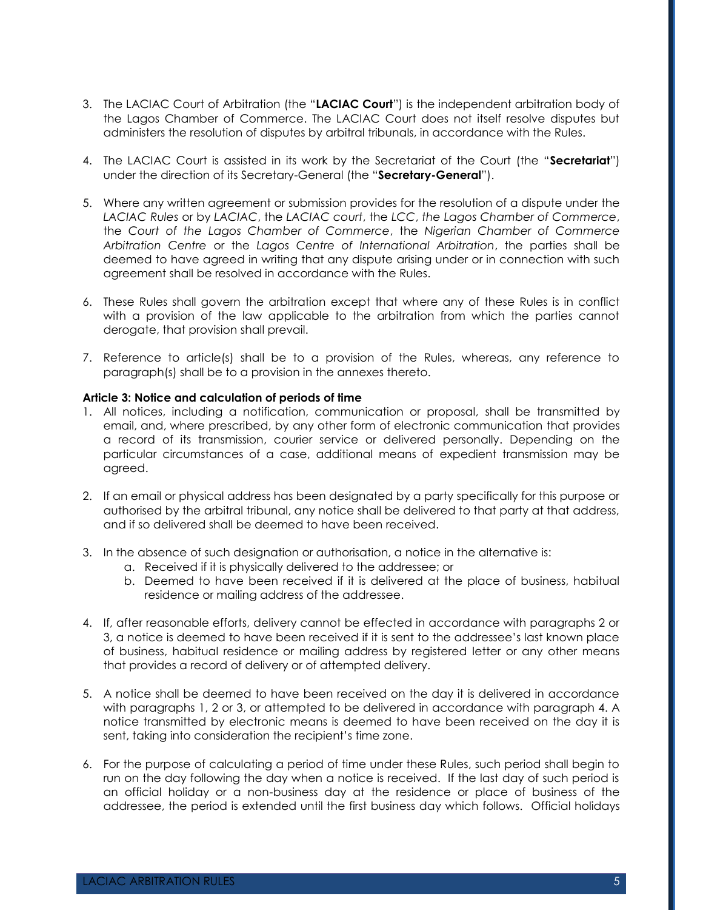- 3. The LACIAC Court of Arbitration (the "**LACIAC Court**") is the independent arbitration body of the Lagos Chamber of Commerce. The LACIAC Court does not itself resolve disputes but administers the resolution of disputes by arbitral tribunals, in accordance with the Rules.
- 4. The LACIAC Court is assisted in its work by the Secretariat of the Court (the "**Secretariat**") under the direction of its Secretary-General (the "**Secretary-General**").
- 5. Where any written agreement or submission provides for the resolution of a dispute under the *LACIAC Rules* or by *LACIAC*, the *LACIAC court*, the *LCC*, *the Lagos Chamber of Commerce*, the *Court of the Lagos Chamber of Commerce*, the *Nigerian Chamber of Commerce Arbitration Centre* or the *Lagos Centre of International Arbitration*, the parties shall be deemed to have agreed in writing that any dispute arising under or in connection with such agreement shall be resolved in accordance with the Rules.
- 6. These Rules shall govern the arbitration except that where any of these Rules is in conflict with a provision of the law applicable to the arbitration from which the parties cannot derogate, that provision shall prevail.
- 7. Reference to article(s) shall be to a provision of the Rules, whereas, any reference to paragraph(s) shall be to a provision in the annexes thereto.

## **Article 3: Notice and calculation of periods of time**

- 1. All notices, including a notification, communication or proposal, shall be transmitted by email, and, where prescribed, by any other form of electronic communication that provides a record of its transmission, courier service or delivered personally. Depending on the particular circumstances of a case, additional means of expedient transmission may be agreed.
- 2. If an email or physical address has been designated by a party specifically for this purpose or authorised by the arbitral tribunal, any notice shall be delivered to that party at that address, and if so delivered shall be deemed to have been received.
- 3. In the absence of such designation or authorisation, a notice in the alternative is:
	- a. Received if it is physically delivered to the addressee; or
	- b. Deemed to have been received if it is delivered at the place of business, habitual residence or mailing address of the addressee.
- 4. If, after reasonable efforts, delivery cannot be effected in accordance with paragraphs 2 or 3, a notice is deemed to have been received if it is sent to the addressee's last known place of business, habitual residence or mailing address by registered letter or any other means that provides a record of delivery or of attempted delivery.
- 5. A notice shall be deemed to have been received on the day it is delivered in accordance with paragraphs 1, 2 or 3, or attempted to be delivered in accordance with paragraph 4. A notice transmitted by electronic means is deemed to have been received on the day it is sent, taking into consideration the recipient's time zone.
- 6. For the purpose of calculating a period of time under these Rules, such period shall begin to run on the day following the day when a notice is received. If the last day of such period is an official holiday or a non-business day at the residence or place of business of the addressee, the period is extended until the first business day which follows. Official holidays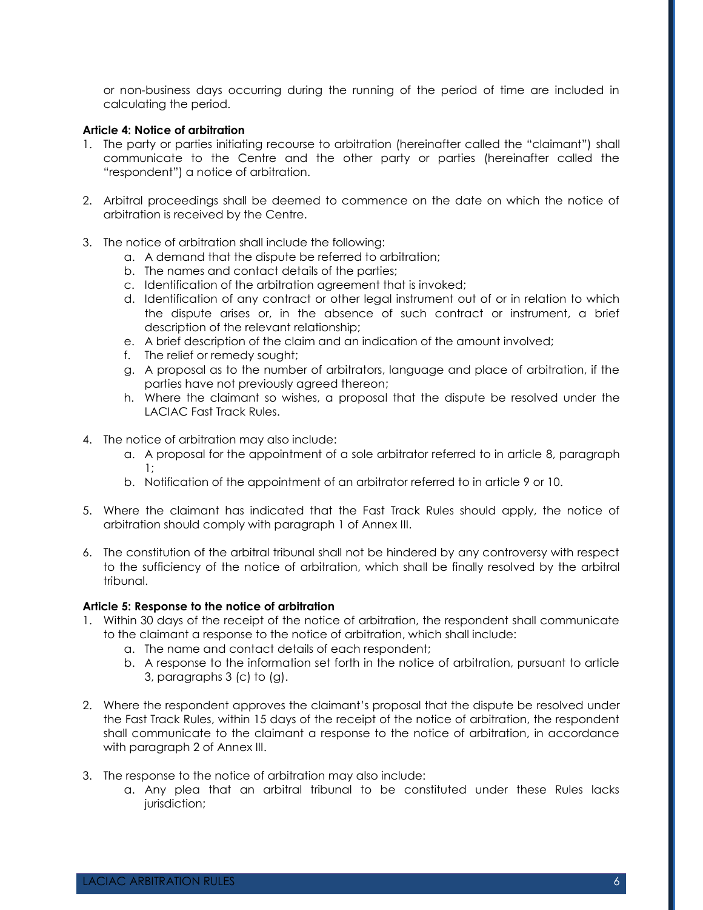or non-business days occurring during the running of the period of time are included in calculating the period.

## **Article 4: Notice of arbitration**

- 1. The party or parties initiating recourse to arbitration (hereinafter called the "claimant") shall communicate to the Centre and the other party or parties (hereinafter called the "respondent") a notice of arbitration.
- 2. Arbitral proceedings shall be deemed to commence on the date on which the notice of arbitration is received by the Centre.
- 3. The notice of arbitration shall include the following:
	- a. A demand that the dispute be referred to arbitration;
	- b. The names and contact details of the parties;
	- c. Identification of the arbitration agreement that is invoked;
	- d. Identification of any contract or other legal instrument out of or in relation to which the dispute arises or, in the absence of such contract or instrument, a brief description of the relevant relationship;
	- e. A brief description of the claim and an indication of the amount involved;
	- f. The relief or remedy sought;
	- g. A proposal as to the number of arbitrators, language and place of arbitration, if the parties have not previously agreed thereon;
	- h. Where the claimant so wishes, a proposal that the dispute be resolved under the LACIAC Fast Track Rules.
- 4. The notice of arbitration may also include:
	- a. A proposal for the appointment of a sole arbitrator referred to in article 8, paragraph 1;
	- b. Notification of the appointment of an arbitrator referred to in article 9 or 10.
- 5. Where the claimant has indicated that the Fast Track Rules should apply, the notice of arbitration should comply with paragraph 1 of Annex III.
- 6. The constitution of the arbitral tribunal shall not be hindered by any controversy with respect to the sufficiency of the notice of arbitration, which shall be finally resolved by the arbitral tribunal.

#### **Article 5: Response to the notice of arbitration**

- 1. Within 30 days of the receipt of the notice of arbitration, the respondent shall communicate to the claimant a response to the notice of arbitration, which shall include:
	- a. The name and contact details of each respondent;
	- b. A response to the information set forth in the notice of arbitration, pursuant to article 3, paragraphs 3 (c) to (g).
- 2. Where the respondent approves the claimant's proposal that the dispute be resolved under the Fast Track Rules, within 15 days of the receipt of the notice of arbitration, the respondent shall communicate to the claimant a response to the notice of arbitration, in accordance with paragraph 2 of Annex III.
- 3. The response to the notice of arbitration may also include:
	- a. Any plea that an arbitral tribunal to be constituted under these Rules lacks jurisdiction;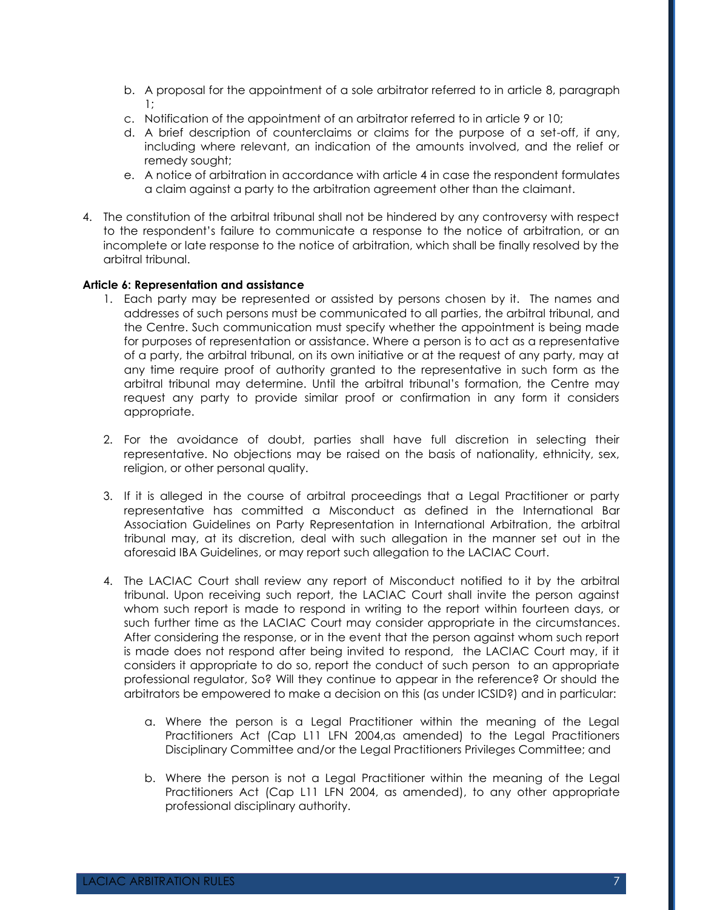- b. A proposal for the appointment of a sole arbitrator referred to in article 8, paragraph 1;
- c. Notification of the appointment of an arbitrator referred to in article 9 or 10;
- d. A brief description of counterclaims or claims for the purpose of a set-off, if any, including where relevant, an indication of the amounts involved, and the relief or remedy sought;
- e. A notice of arbitration in accordance with article 4 in case the respondent formulates a claim against a party to the arbitration agreement other than the claimant.
- 4. The constitution of the arbitral tribunal shall not be hindered by any controversy with respect to the respondent's failure to communicate a response to the notice of arbitration, or an incomplete or late response to the notice of arbitration, which shall be finally resolved by the arbitral tribunal.

#### **Article 6: Representation and assistance**

- 1. Each party may be represented or assisted by persons chosen by it. The names and addresses of such persons must be communicated to all parties, the arbitral tribunal, and the Centre. Such communication must specify whether the appointment is being made for purposes of representation or assistance. Where a person is to act as a representative of a party, the arbitral tribunal, on its own initiative or at the request of any party, may at any time require proof of authority granted to the representative in such form as the arbitral tribunal may determine. Until the arbitral tribunal's formation, the Centre may request any party to provide similar proof or confirmation in any form it considers appropriate.
- 2. For the avoidance of doubt, parties shall have full discretion in selecting their representative. No objections may be raised on the basis of nationality, ethnicity, sex, religion, or other personal quality.
- 3. If it is alleged in the course of arbitral proceedings that a Legal Practitioner or party representative has committed a Misconduct as defined in the International Bar Association Guidelines on Party Representation in International Arbitration, the arbitral tribunal may, at its discretion, deal with such allegation in the manner set out in the aforesaid IBA Guidelines, or may report such allegation to the LACIAC Court.
- 4. The LACIAC Court shall review any report of Misconduct notified to it by the arbitral tribunal. Upon receiving such report, the LACIAC Court shall invite the person against whom such report is made to respond in writing to the report within fourteen days, or such further time as the LACIAC Court may consider appropriate in the circumstances. After considering the response, or in the event that the person against whom such report is made does not respond after being invited to respond, the LACIAC Court may, if it considers it appropriate to do so, report the conduct of such person to an appropriate professional regulator, So? Will they continue to appear in the reference? Or should the arbitrators be empowered to make a decision on this (as under ICSID?) and in particular:
	- a. Where the person is a Legal Practitioner within the meaning of the Legal Practitioners Act (Cap L11 LFN 2004,as amended) to the Legal Practitioners Disciplinary Committee and/or the Legal Practitioners Privileges Committee; and
	- b. Where the person is not a Legal Practitioner within the meaning of the Legal Practitioners Act (Cap L11 LFN 2004, as amended), to any other appropriate professional disciplinary authority.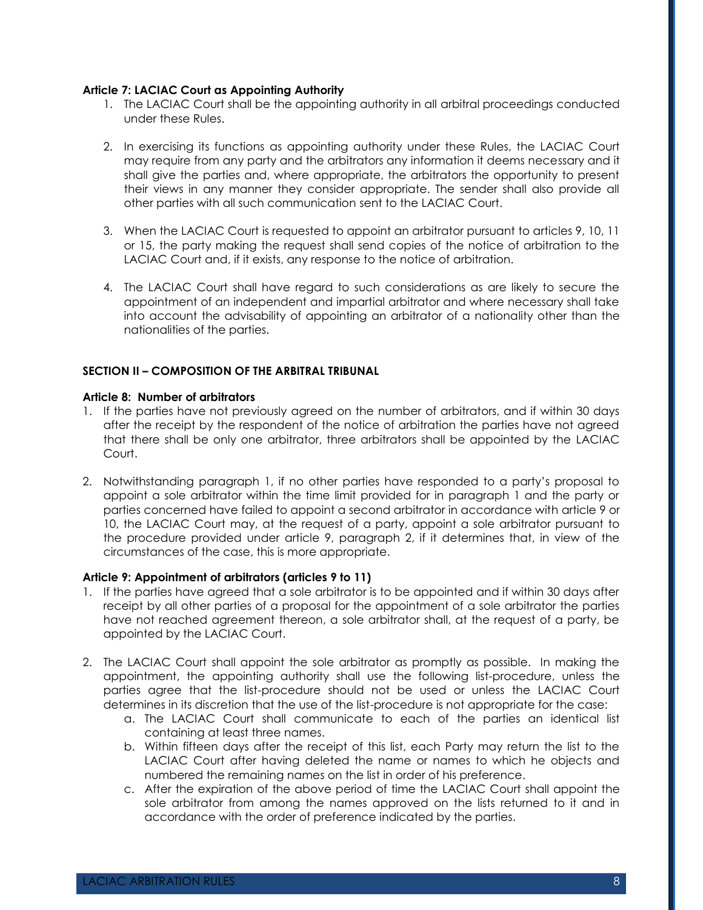## **Article 7: LACIAC Court as Appointing Authority**

- 1. The LACIAC Court shall be the appointing authority in all arbitral proceedings conducted under these Rules.
- 2. In exercising its functions as appointing authority under these Rules, the LACIAC Court may require from any party and the arbitrators any information it deems necessary and it shall give the parties and, where appropriate, the arbitrators the opportunity to present their views in any manner they consider appropriate. The sender shall also provide all other parties with all such communication sent to the LACIAC Court.
- 3. When the LACIAC Court is requested to appoint an arbitrator pursuant to articles 9, 10, 11 or 15, the party making the request shall send copies of the notice of arbitration to the LACIAC Court and, if it exists, any response to the notice of arbitration.
- 4. The LACIAC Court shall have regard to such considerations as are likely to secure the appointment of an independent and impartial arbitrator and where necessary shall take into account the advisability of appointing an arbitrator of a nationality other than the nationalities of the parties.

## **SECTION II – COMPOSITION OF THE ARBITRAL TRIBUNAL**

#### **Article 8: Number of arbitrators**

- 1. If the parties have not previously agreed on the number of arbitrators, and if within 30 days after the receipt by the respondent of the notice of arbitration the parties have not agreed that there shall be only one arbitrator, three arbitrators shall be appointed by the LACIAC Court.
- 2. Notwithstanding paragraph 1, if no other parties have responded to a party's proposal to appoint a sole arbitrator within the time limit provided for in paragraph 1 and the party or parties concerned have failed to appoint a second arbitrator in accordance with article 9 or 10, the LACIAC Court may, at the request of a party, appoint a sole arbitrator pursuant to the procedure provided under article 9, paragraph 2, if it determines that, in view of the circumstances of the case, this is more appropriate.

#### **Article 9: Appointment of arbitrators (articles 9 to 11)**

- 1. If the parties have agreed that a sole arbitrator is to be appointed and if within 30 days after receipt by all other parties of a proposal for the appointment of a sole arbitrator the parties have not reached agreement thereon, a sole arbitrator shall, at the request of a party, be appointed by the LACIAC Court.
- 2. The LACIAC Court shall appoint the sole arbitrator as promptly as possible. In making the appointment, the appointing authority shall use the following list-procedure, unless the parties agree that the list-procedure should not be used or unless the LACIAC Court determines in its discretion that the use of the list-procedure is not appropriate for the case:
	- a. The LACIAC Court shall communicate to each of the parties an identical list containing at least three names.
	- b. Within fifteen days after the receipt of this list, each Party may return the list to the LACIAC Court after having deleted the name or names to which he objects and numbered the remaining names on the list in order of his preference.
	- c. After the expiration of the above period of time the LACIAC Court shall appoint the sole arbitrator from among the names approved on the lists returned to it and in accordance with the order of preference indicated by the parties.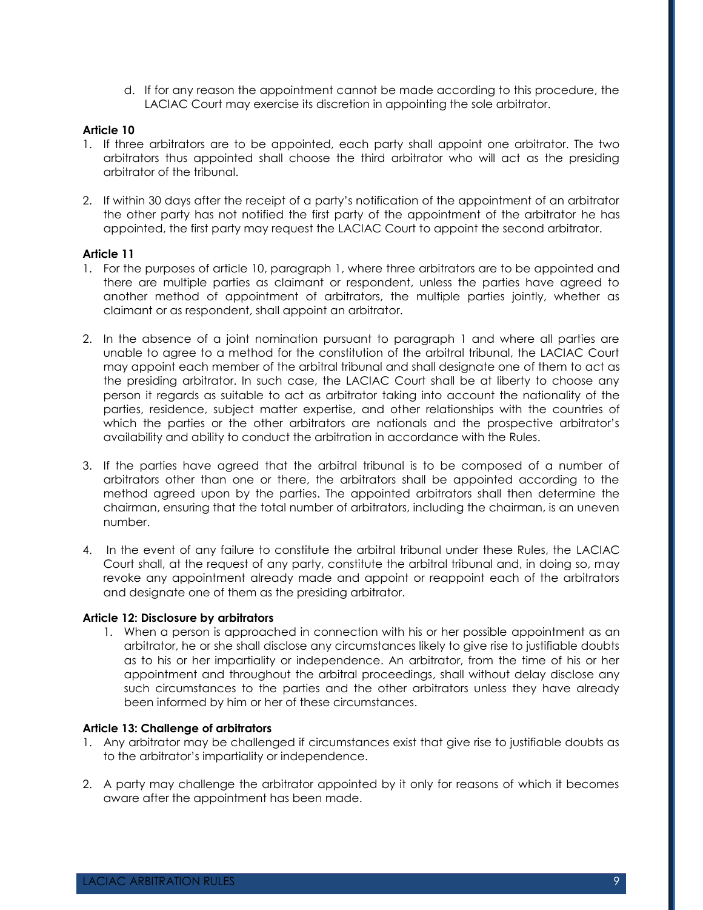d. If for any reason the appointment cannot be made according to this procedure, the LACIAC Court may exercise its discretion in appointing the sole arbitrator.

## **Article 10**

- 1. If three arbitrators are to be appointed, each party shall appoint one arbitrator. The two arbitrators thus appointed shall choose the third arbitrator who will act as the presiding arbitrator of the tribunal.
- 2. If within 30 days after the receipt of a party's notification of the appointment of an arbitrator the other party has not notified the first party of the appointment of the arbitrator he has appointed, the first party may request the LACIAC Court to appoint the second arbitrator.

#### **Article 11**

- 1. For the purposes of article 10, paragraph 1, where three arbitrators are to be appointed and there are multiple parties as claimant or respondent, unless the parties have agreed to another method of appointment of arbitrators, the multiple parties jointly, whether as claimant or as respondent, shall appoint an arbitrator.
- 2. In the absence of a joint nomination pursuant to paragraph 1 and where all parties are unable to agree to a method for the constitution of the arbitral tribunal, the LACIAC Court may appoint each member of the arbitral tribunal and shall designate one of them to act as the presiding arbitrator. In such case, the LACIAC Court shall be at liberty to choose any person it regards as suitable to act as arbitrator taking into account the nationality of the parties, residence, subject matter expertise, and other relationships with the countries of which the parties or the other arbitrators are nationals and the prospective arbitrator's availability and ability to conduct the arbitration in accordance with the Rules.
- 3. If the parties have agreed that the arbitral tribunal is to be composed of a number of arbitrators other than one or there, the arbitrators shall be appointed according to the method agreed upon by the parties. The appointed arbitrators shall then determine the chairman, ensuring that the total number of arbitrators, including the chairman, is an uneven number.
- 4. In the event of any failure to constitute the arbitral tribunal under these Rules, the LACIAC Court shall, at the request of any party, constitute the arbitral tribunal and, in doing so, may revoke any appointment already made and appoint or reappoint each of the arbitrators and designate one of them as the presiding arbitrator.

#### **Article 12: Disclosure by arbitrators**

1. When a person is approached in connection with his or her possible appointment as an arbitrator, he or she shall disclose any circumstances likely to give rise to justifiable doubts as to his or her impartiality or independence. An arbitrator, from the time of his or her appointment and throughout the arbitral proceedings, shall without delay disclose any such circumstances to the parties and the other arbitrators unless they have already been informed by him or her of these circumstances.

#### **Article 13: Challenge of arbitrators**

- 1. Any arbitrator may be challenged if circumstances exist that give rise to justifiable doubts as to the arbitrator's impartiality or independence.
- 2. A party may challenge the arbitrator appointed by it only for reasons of which it becomes aware after the appointment has been made.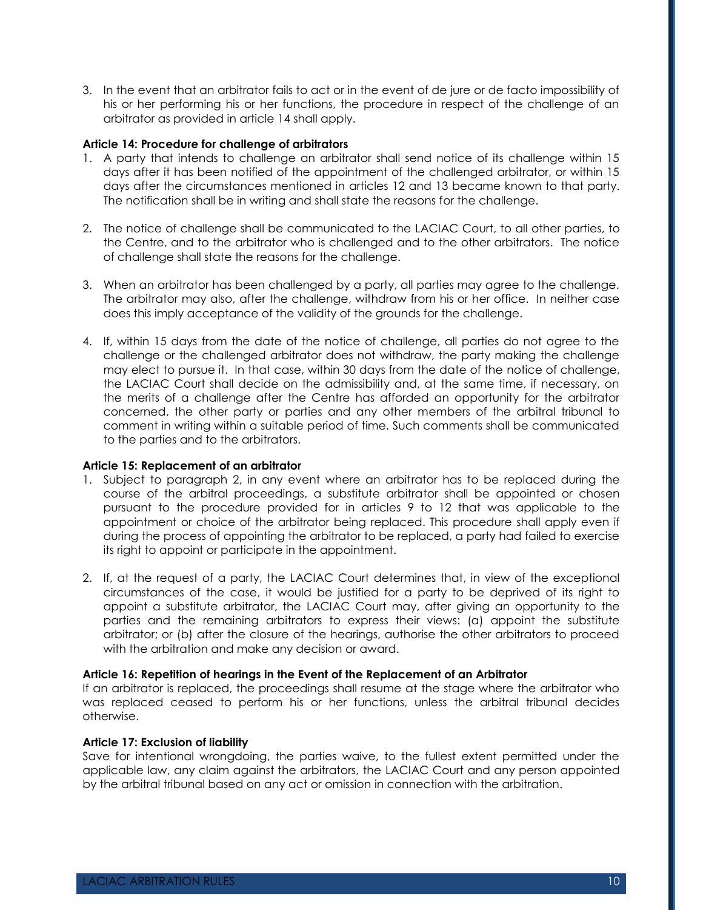3. In the event that an arbitrator fails to act or in the event of de jure or de facto impossibility of his or her performing his or her functions, the procedure in respect of the challenge of an arbitrator as provided in article 14 shall apply.

### **Article 14: Procedure for challenge of arbitrators**

- 1. A party that intends to challenge an arbitrator shall send notice of its challenge within 15 days after it has been notified of the appointment of the challenged arbitrator, or within 15 days after the circumstances mentioned in articles 12 and 13 became known to that party. The notification shall be in writing and shall state the reasons for the challenge.
- 2. The notice of challenge shall be communicated to the LACIAC Court, to all other parties, to the Centre, and to the arbitrator who is challenged and to the other arbitrators. The notice of challenge shall state the reasons for the challenge.
- 3. When an arbitrator has been challenged by a party, all parties may agree to the challenge. The arbitrator may also, after the challenge, withdraw from his or her office. In neither case does this imply acceptance of the validity of the grounds for the challenge.
- 4. If, within 15 days from the date of the notice of challenge, all parties do not agree to the challenge or the challenged arbitrator does not withdraw, the party making the challenge may elect to pursue it. In that case, within 30 days from the date of the notice of challenge, the LACIAC Court shall decide on the admissibility and, at the same time, if necessary, on the merits of a challenge after the Centre has afforded an opportunity for the arbitrator concerned, the other party or parties and any other members of the arbitral tribunal to comment in writing within a suitable period of time. Such comments shall be communicated to the parties and to the arbitrators.

#### **Article 15: Replacement of an arbitrator**

- 1. Subject to paragraph 2, in any event where an arbitrator has to be replaced during the course of the arbitral proceedings, a substitute arbitrator shall be appointed or chosen pursuant to the procedure provided for in articles 9 to 12 that was applicable to the appointment or choice of the arbitrator being replaced. This procedure shall apply even if during the process of appointing the arbitrator to be replaced, a party had failed to exercise its right to appoint or participate in the appointment.
- 2. If, at the request of a party, the LACIAC Court determines that, in view of the exceptional circumstances of the case, it would be justified for a party to be deprived of its right to appoint a substitute arbitrator, the LACIAC Court may, after giving an opportunity to the parties and the remaining arbitrators to express their views: (a) appoint the substitute arbitrator; or (b) after the closure of the hearings, authorise the other arbitrators to proceed with the arbitration and make any decision or award.

#### **Article 16: Repetition of hearings in the Event of the Replacement of an Arbitrator**

If an arbitrator is replaced, the proceedings shall resume at the stage where the arbitrator who was replaced ceased to perform his or her functions, unless the arbitral tribunal decides otherwise.

#### **Article 17: Exclusion of liability**

Save for intentional wrongdoing, the parties waive, to the fullest extent permitted under the applicable law, any claim against the arbitrators, the LACIAC Court and any person appointed by the arbitral tribunal based on any act or omission in connection with the arbitration.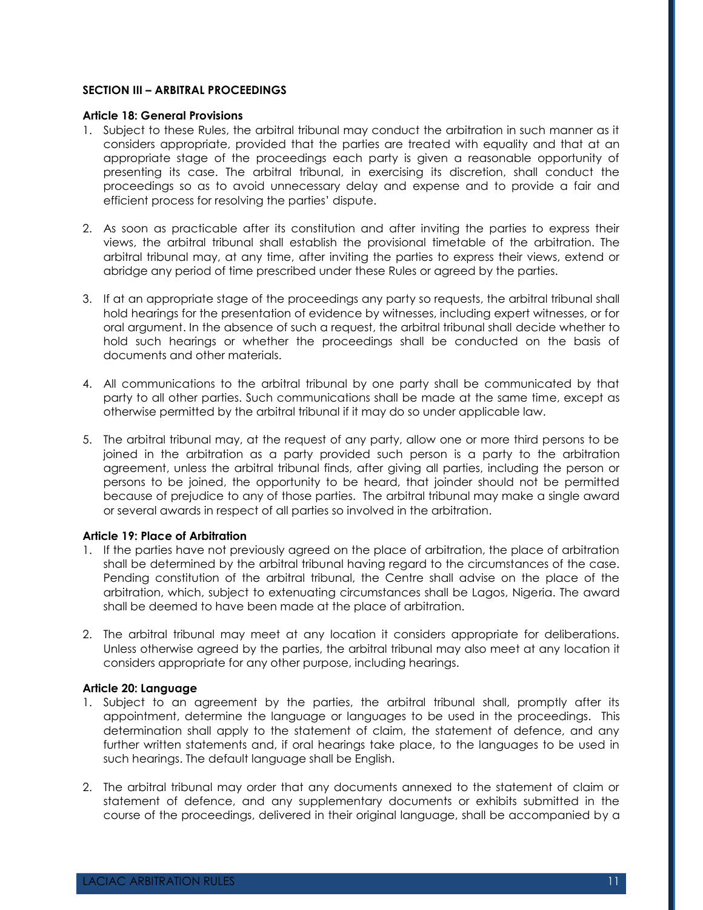## **SECTION III – ARBITRAL PROCEEDINGS**

#### **Article 18: General Provisions**

- 1. Subject to these Rules, the arbitral tribunal may conduct the arbitration in such manner as it considers appropriate, provided that the parties are treated with equality and that at an appropriate stage of the proceedings each party is given a reasonable opportunity of presenting its case. The arbitral tribunal, in exercising its discretion, shall conduct the proceedings so as to avoid unnecessary delay and expense and to provide a fair and efficient process for resolving the parties' dispute.
- 2. As soon as practicable after its constitution and after inviting the parties to express their views, the arbitral tribunal shall establish the provisional timetable of the arbitration. The arbitral tribunal may, at any time, after inviting the parties to express their views, extend or abridge any period of time prescribed under these Rules or agreed by the parties.
- 3. If at an appropriate stage of the proceedings any party so requests, the arbitral tribunal shall hold hearings for the presentation of evidence by witnesses, including expert witnesses, or for oral argument. In the absence of such a request, the arbitral tribunal shall decide whether to hold such hearings or whether the proceedings shall be conducted on the basis of documents and other materials.
- 4. All communications to the arbitral tribunal by one party shall be communicated by that party to all other parties. Such communications shall be made at the same time, except as otherwise permitted by the arbitral tribunal if it may do so under applicable law.
- 5. The arbitral tribunal may, at the request of any party, allow one or more third persons to be joined in the arbitration as a party provided such person is a party to the arbitration agreement, unless the arbitral tribunal finds, after giving all parties, including the person or persons to be joined, the opportunity to be heard, that joinder should not be permitted because of prejudice to any of those parties. The arbitral tribunal may make a single award or several awards in respect of all parties so involved in the arbitration.

### **Article 19: Place of Arbitration**

- 1. If the parties have not previously agreed on the place of arbitration, the place of arbitration shall be determined by the arbitral tribunal having regard to the circumstances of the case. Pending constitution of the arbitral tribunal, the Centre shall advise on the place of the arbitration, which, subject to extenuating circumstances shall be Lagos, Nigeria. The award shall be deemed to have been made at the place of arbitration.
- 2. The arbitral tribunal may meet at any location it considers appropriate for deliberations. Unless otherwise agreed by the parties, the arbitral tribunal may also meet at any location it considers appropriate for any other purpose, including hearings.

#### **Article 20: Language**

- 1. Subject to an agreement by the parties, the arbitral tribunal shall, promptly after its appointment, determine the language or languages to be used in the proceedings. This determination shall apply to the statement of claim, the statement of defence, and any further written statements and, if oral hearings take place, to the languages to be used in such hearings. The default language shall be English.
- 2. The arbitral tribunal may order that any documents annexed to the statement of claim or statement of defence, and any supplementary documents or exhibits submitted in the course of the proceedings, delivered in their original language, shall be accompanied by a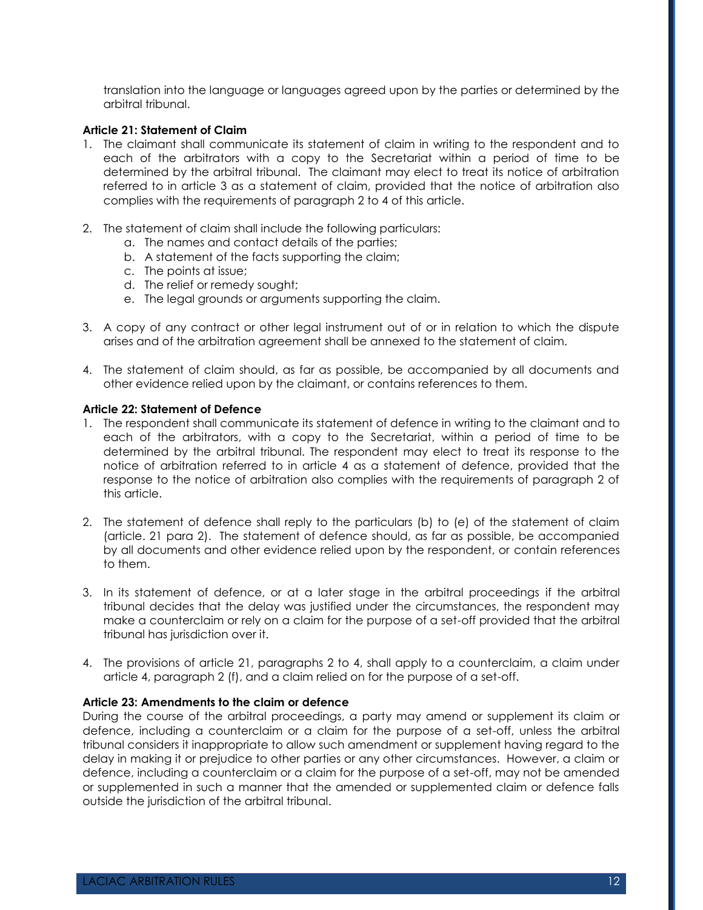translation into the language or languages agreed upon by the parties or determined by the arbitral tribunal.

## **Article 21: Statement of Claim**

- 1. The claimant shall communicate its statement of claim in writing to the respondent and to each of the arbitrators with a copy to the Secretariat within a period of time to be determined by the arbitral tribunal. The claimant may elect to treat its notice of arbitration referred to in article 3 as a statement of claim, provided that the notice of arbitration also complies with the requirements of paragraph 2 to 4 of this article.
- 2. The statement of claim shall include the following particulars:
	- a. The names and contact details of the parties;
	- b. A statement of the facts supporting the claim;
	- c. The points at issue;
	- d. The relief or remedy sought;
	- e. The legal grounds or arguments supporting the claim.
- 3. A copy of any contract or other legal instrument out of or in relation to which the dispute arises and of the arbitration agreement shall be annexed to the statement of claim.
- 4. The statement of claim should, as far as possible, be accompanied by all documents and other evidence relied upon by the claimant, or contains references to them.

#### **Article 22: Statement of Defence**

- 1. The respondent shall communicate its statement of defence in writing to the claimant and to each of the arbitrators, with a copy to the Secretariat, within a period of time to be determined by the arbitral tribunal. The respondent may elect to treat its response to the notice of arbitration referred to in article 4 as a statement of defence, provided that the response to the notice of arbitration also complies with the requirements of paragraph 2 of this article.
- 2. The statement of defence shall reply to the particulars (b) to (e) of the statement of claim (article. 21 para 2). The statement of defence should, as far as possible, be accompanied by all documents and other evidence relied upon by the respondent, or contain references to them.
- 3. In its statement of defence, or at a later stage in the arbitral proceedings if the arbitral tribunal decides that the delay was justified under the circumstances, the respondent may make a counterclaim or rely on a claim for the purpose of a set-off provided that the arbitral tribunal has jurisdiction over it.
- 4. The provisions of article 21, paragraphs 2 to 4, shall apply to a counterclaim, a claim under article 4, paragraph 2 (f), and a claim relied on for the purpose of a set-off.

#### **Article 23: Amendments to the claim or defence**

During the course of the arbitral proceedings, a party may amend or supplement its claim or defence, including a counterclaim or a claim for the purpose of a set-off, unless the arbitral tribunal considers it inappropriate to allow such amendment or supplement having regard to the delay in making it or prejudice to other parties or any other circumstances. However, a claim or defence, including a counterclaim or a claim for the purpose of a set-off, may not be amended or supplemented in such a manner that the amended or supplemented claim or defence falls outside the jurisdiction of the arbitral tribunal.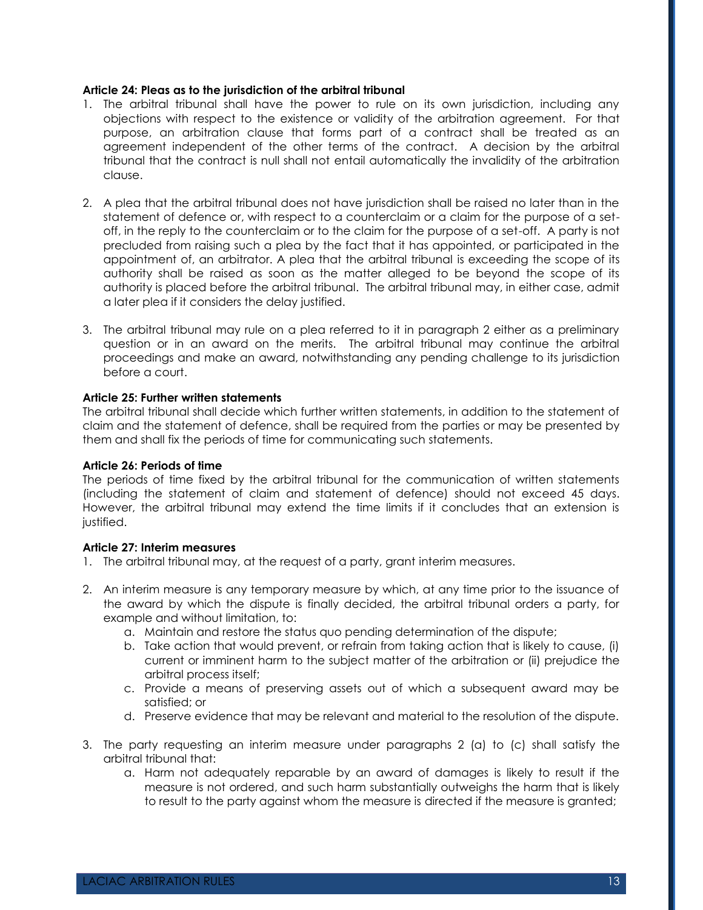#### **Article 24: Pleas as to the jurisdiction of the arbitral tribunal**

- 1. The arbitral tribunal shall have the power to rule on its own jurisdiction, including any objections with respect to the existence or validity of the arbitration agreement. For that purpose, an arbitration clause that forms part of a contract shall be treated as an agreement independent of the other terms of the contract. A decision by the arbitral tribunal that the contract is null shall not entail automatically the invalidity of the arbitration clause.
- 2. A plea that the arbitral tribunal does not have jurisdiction shall be raised no later than in the statement of defence or, with respect to a counterclaim or a claim for the purpose of a setoff, in the reply to the counterclaim or to the claim for the purpose of a set-off. A party is not precluded from raising such a plea by the fact that it has appointed, or participated in the appointment of, an arbitrator. A plea that the arbitral tribunal is exceeding the scope of its authority shall be raised as soon as the matter alleged to be beyond the scope of its authority is placed before the arbitral tribunal. The arbitral tribunal may, in either case, admit a later plea if it considers the delay justified.
- 3. The arbitral tribunal may rule on a plea referred to it in paragraph 2 either as a preliminary question or in an award on the merits. The arbitral tribunal may continue the arbitral proceedings and make an award, notwithstanding any pending challenge to its jurisdiction before a court.

## **Article 25: Further written statements**

The arbitral tribunal shall decide which further written statements, in addition to the statement of claim and the statement of defence, shall be required from the parties or may be presented by them and shall fix the periods of time for communicating such statements.

#### **Article 26: Periods of time**

The periods of time fixed by the arbitral tribunal for the communication of written statements (including the statement of claim and statement of defence) should not exceed 45 days. However, the arbitral tribunal may extend the time limits if it concludes that an extension is justified.

#### **Article 27: Interim measures**

- 1. The arbitral tribunal may, at the request of a party, grant interim measures.
- 2. An interim measure is any temporary measure by which, at any time prior to the issuance of the award by which the dispute is finally decided, the arbitral tribunal orders a party, for example and without limitation, to:
	- a. Maintain and restore the status quo pending determination of the dispute;
	- b. Take action that would prevent, or refrain from taking action that is likely to cause, (i) current or imminent harm to the subject matter of the arbitration or (ii) prejudice the arbitral process itself;
	- c. Provide a means of preserving assets out of which a subsequent award may be satisfied; or
	- d. Preserve evidence that may be relevant and material to the resolution of the dispute.
- 3. The party requesting an interim measure under paragraphs 2 (a) to (c) shall satisfy the arbitral tribunal that:
	- a. Harm not adequately reparable by an award of damages is likely to result if the measure is not ordered, and such harm substantially outweighs the harm that is likely to result to the party against whom the measure is directed if the measure is granted;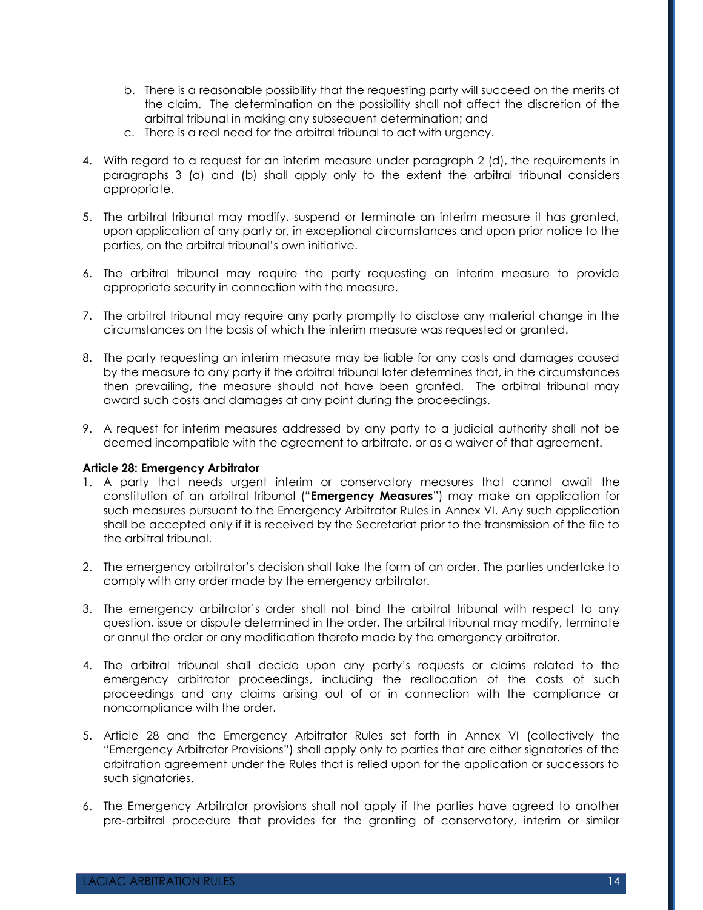- b. There is a reasonable possibility that the requesting party will succeed on the merits of the claim. The determination on the possibility shall not affect the discretion of the arbitral tribunal in making any subsequent determination; and
- c. There is a real need for the arbitral tribunal to act with urgency.
- 4. With regard to a request for an interim measure under paragraph 2 (d), the requirements in paragraphs 3 (a) and (b) shall apply only to the extent the arbitral tribunal considers appropriate.
- 5. The arbitral tribunal may modify, suspend or terminate an interim measure it has granted, upon application of any party or, in exceptional circumstances and upon prior notice to the parties, on the arbitral tribunal's own initiative.
- 6. The arbitral tribunal may require the party requesting an interim measure to provide appropriate security in connection with the measure.
- 7. The arbitral tribunal may require any party promptly to disclose any material change in the circumstances on the basis of which the interim measure was requested or granted.
- 8. The party requesting an interim measure may be liable for any costs and damages caused by the measure to any party if the arbitral tribunal later determines that, in the circumstances then prevailing, the measure should not have been granted. The arbitral tribunal may award such costs and damages at any point during the proceedings.
- 9. A request for interim measures addressed by any party to a judicial authority shall not be deemed incompatible with the agreement to arbitrate, or as a waiver of that agreement.

#### **Article 28: Emergency Arbitrator**

- 1. A party that needs urgent interim or conservatory measures that cannot await the constitution of an arbitral tribunal ("**Emergency Measures**") may make an application for such measures pursuant to the Emergency Arbitrator Rules in Annex VI. Any such application shall be accepted only if it is received by the Secretariat prior to the transmission of the file to the arbitral tribunal.
- 2. The emergency arbitrator's decision shall take the form of an order. The parties undertake to comply with any order made by the emergency arbitrator.
- 3. The emergency arbitrator's order shall not bind the arbitral tribunal with respect to any question, issue or dispute determined in the order. The arbitral tribunal may modify, terminate or annul the order or any modification thereto made by the emergency arbitrator.
- 4. The arbitral tribunal shall decide upon any party's requests or claims related to the emergency arbitrator proceedings, including the reallocation of the costs of such proceedings and any claims arising out of or in connection with the compliance or noncompliance with the order.
- 5. Article 28 and the Emergency Arbitrator Rules set forth in Annex VI (collectively the "Emergency Arbitrator Provisions") shall apply only to parties that are either signatories of the arbitration agreement under the Rules that is relied upon for the application or successors to such signatories.
- 6. The Emergency Arbitrator provisions shall not apply if the parties have agreed to another pre-arbitral procedure that provides for the granting of conservatory, interim or similar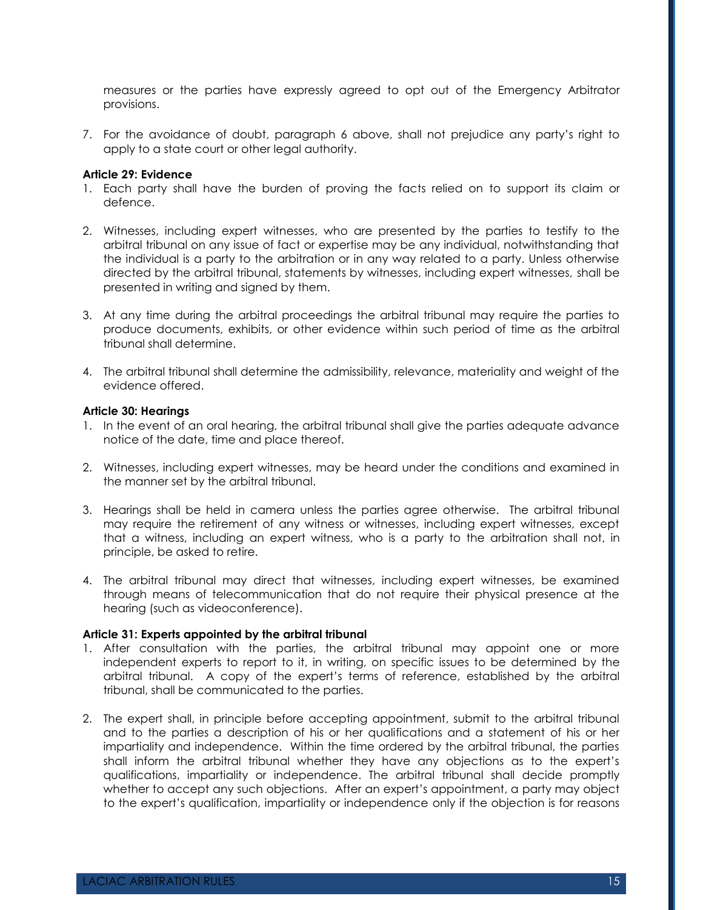measures or the parties have expressly agreed to opt out of the Emergency Arbitrator provisions.

7. For the avoidance of doubt, paragraph 6 above, shall not prejudice any party's right to apply to a state court or other legal authority.

#### **Article 29: Evidence**

- 1. Each party shall have the burden of proving the facts relied on to support its claim or defence.
- 2. Witnesses, including expert witnesses, who are presented by the parties to testify to the arbitral tribunal on any issue of fact or expertise may be any individual, notwithstanding that the individual is a party to the arbitration or in any way related to a party. Unless otherwise directed by the arbitral tribunal, statements by witnesses, including expert witnesses, shall be presented in writing and signed by them.
- 3. At any time during the arbitral proceedings the arbitral tribunal may require the parties to produce documents, exhibits, or other evidence within such period of time as the arbitral tribunal shall determine.
- 4. The arbitral tribunal shall determine the admissibility, relevance, materiality and weight of the evidence offered.

#### **Article 30: Hearings**

- 1. In the event of an oral hearing, the arbitral tribunal shall give the parties adequate advance notice of the date, time and place thereof.
- 2. Witnesses, including expert witnesses, may be heard under the conditions and examined in the manner set by the arbitral tribunal.
- 3. Hearings shall be held in camera unless the parties agree otherwise. The arbitral tribunal may require the retirement of any witness or witnesses, including expert witnesses, except that a witness, including an expert witness, who is a party to the arbitration shall not, in principle, be asked to retire.
- 4. The arbitral tribunal may direct that witnesses, including expert witnesses, be examined through means of telecommunication that do not require their physical presence at the hearing (such as videoconference).

#### **Article 31: Experts appointed by the arbitral tribunal**

- 1. After consultation with the parties, the arbitral tribunal may appoint one or more independent experts to report to it, in writing, on specific issues to be determined by the arbitral tribunal. A copy of the expert's terms of reference, established by the arbitral tribunal, shall be communicated to the parties.
- 2. The expert shall, in principle before accepting appointment, submit to the arbitral tribunal and to the parties a description of his or her qualifications and a statement of his or her impartiality and independence. Within the time ordered by the arbitral tribunal, the parties shall inform the arbitral tribunal whether they have any objections as to the expert's qualifications, impartiality or independence. The arbitral tribunal shall decide promptly whether to accept any such objections. After an expert's appointment, a party may object to the expert's qualification, impartiality or independence only if the objection is for reasons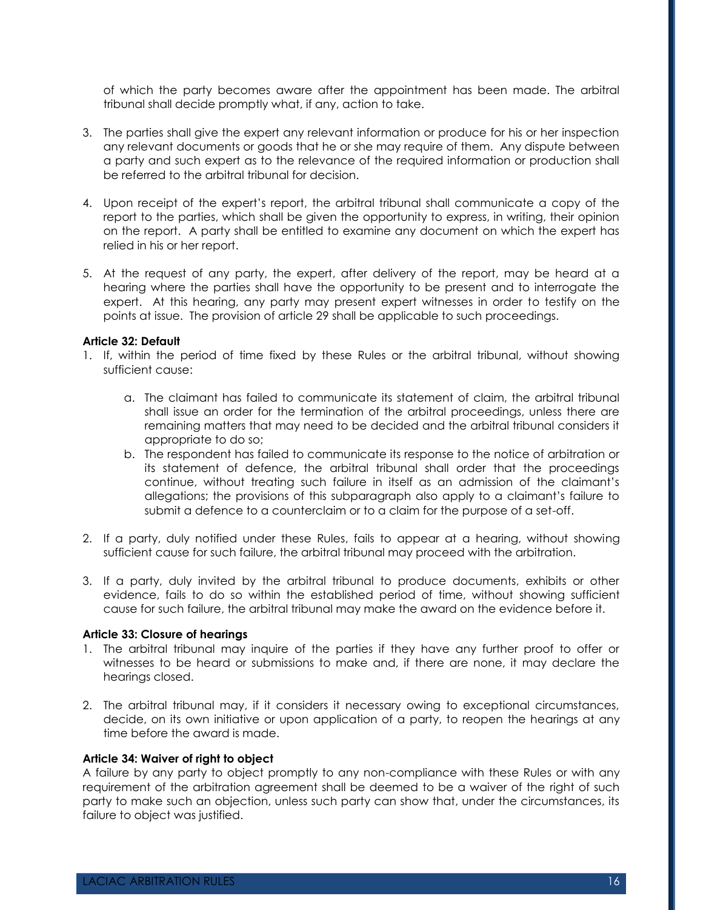of which the party becomes aware after the appointment has been made. The arbitral tribunal shall decide promptly what, if any, action to take.

- 3. The parties shall give the expert any relevant information or produce for his or her inspection any relevant documents or goods that he or she may require of them. Any dispute between a party and such expert as to the relevance of the required information or production shall be referred to the arbitral tribunal for decision.
- 4. Upon receipt of the expert's report, the arbitral tribunal shall communicate a copy of the report to the parties, which shall be given the opportunity to express, in writing, their opinion on the report. A party shall be entitled to examine any document on which the expert has relied in his or her report.
- 5. At the request of any party, the expert, after delivery of the report, may be heard at a hearing where the parties shall have the opportunity to be present and to interrogate the expert. At this hearing, any party may present expert witnesses in order to testify on the points at issue. The provision of article 29 shall be applicable to such proceedings.

#### **Article 32: Default**

- 1. If, within the period of time fixed by these Rules or the arbitral tribunal, without showing sufficient cause:
	- a. The claimant has failed to communicate its statement of claim, the arbitral tribunal shall issue an order for the termination of the arbitral proceedings, unless there are remaining matters that may need to be decided and the arbitral tribunal considers it appropriate to do so;
	- b. The respondent has failed to communicate its response to the notice of arbitration or its statement of defence, the arbitral tribunal shall order that the proceedings continue, without treating such failure in itself as an admission of the claimant's allegations; the provisions of this subparagraph also apply to a claimant's failure to submit a defence to a counterclaim or to a claim for the purpose of a set-off.
- 2. If a party, duly notified under these Rules, fails to appear at a hearing, without showing sufficient cause for such failure, the arbitral tribunal may proceed with the arbitration.
- 3. If a party, duly invited by the arbitral tribunal to produce documents, exhibits or other evidence, fails to do so within the established period of time, without showing sufficient cause for such failure, the arbitral tribunal may make the award on the evidence before it.

#### **Article 33: Closure of hearings**

- 1. The arbitral tribunal may inquire of the parties if they have any further proof to offer or witnesses to be heard or submissions to make and, if there are none, it may declare the hearings closed.
- 2. The arbitral tribunal may, if it considers it necessary owing to exceptional circumstances, decide, on its own initiative or upon application of a party, to reopen the hearings at any time before the award is made.

#### **Article 34: Waiver of right to object**

A failure by any party to object promptly to any non-compliance with these Rules or with any requirement of the arbitration agreement shall be deemed to be a waiver of the right of such party to make such an objection, unless such party can show that, under the circumstances, its failure to object was justified.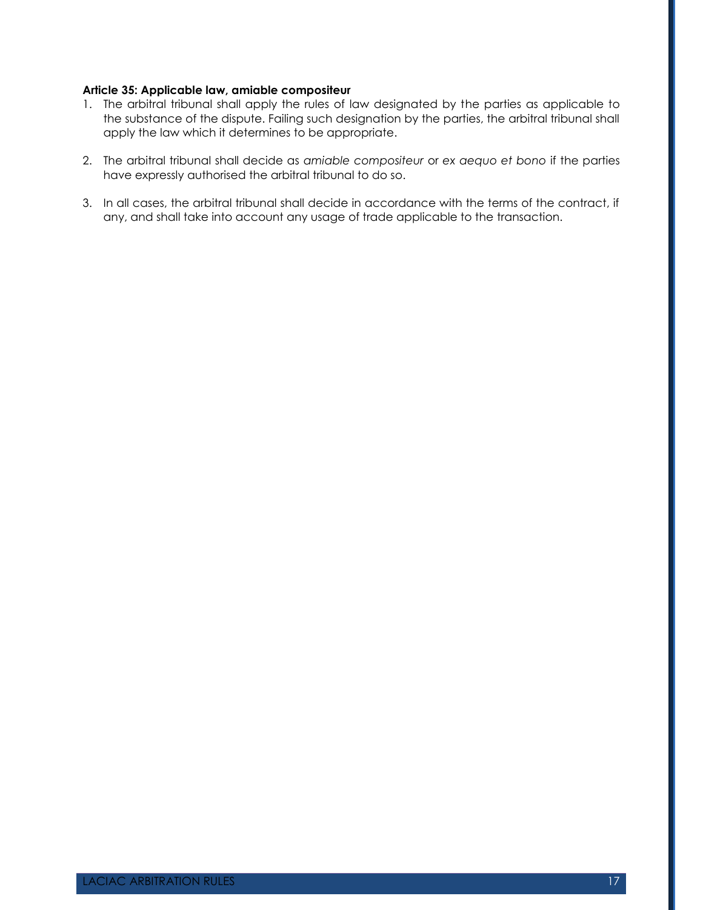### **Article 35: Applicable law, amiable compositeur**

- 1. The arbitral tribunal shall apply the rules of law designated by the parties as applicable to the substance of the dispute. Failing such designation by the parties, the arbitral tribunal shall apply the law which it determines to be appropriate.
- 2. The arbitral tribunal shall decide as *amiable compositeur* or *ex aequo et bono* if the parties have expressly authorised the arbitral tribunal to do so.
- 3. In all cases, the arbitral tribunal shall decide in accordance with the terms of the contract, if any, and shall take into account any usage of trade applicable to the transaction.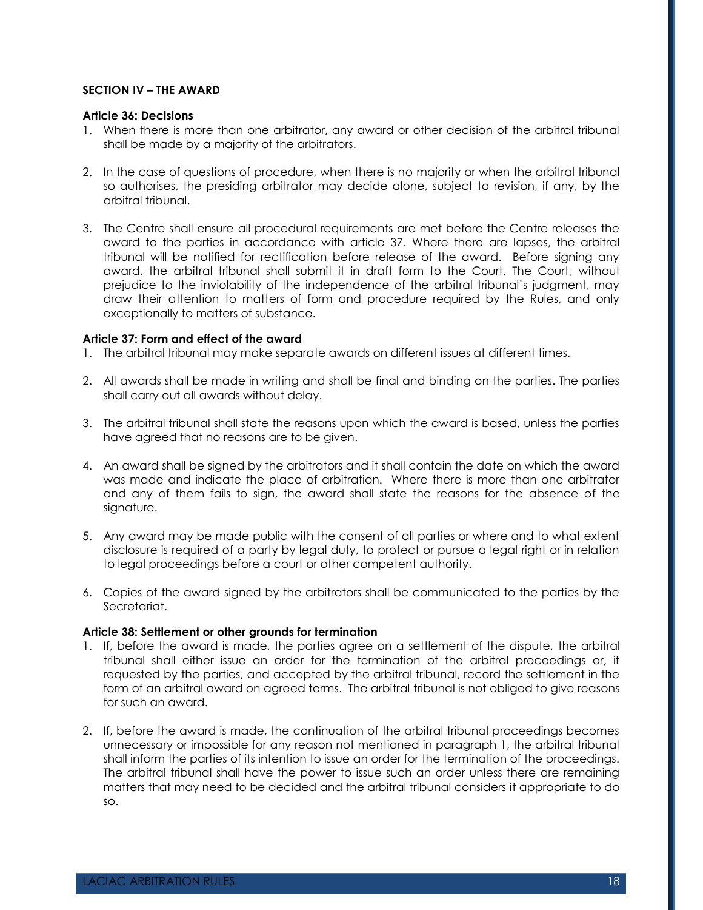## **SECTION IV – THE AWARD**

#### **Article 36: Decisions**

- 1. When there is more than one arbitrator, any award or other decision of the arbitral tribunal shall be made by a majority of the arbitrators.
- 2. In the case of questions of procedure, when there is no majority or when the arbitral tribunal so authorises, the presiding arbitrator may decide alone, subject to revision, if any, by the arbitral tribunal.
- 3. The Centre shall ensure all procedural requirements are met before the Centre releases the award to the parties in accordance with article 37. Where there are lapses, the arbitral tribunal will be notified for rectification before release of the award. Before signing any award, the arbitral tribunal shall submit it in draft form to the Court. The Court, without prejudice to the inviolability of the independence of the arbitral tribunal's judgment, may draw their attention to matters of form and procedure required by the Rules, and only exceptionally to matters of substance.

## **Article 37: Form and effect of the award**

- 1. The arbitral tribunal may make separate awards on different issues at different times.
- 2. All awards shall be made in writing and shall be final and binding on the parties. The parties shall carry out all awards without delay.
- 3. The arbitral tribunal shall state the reasons upon which the award is based, unless the parties have agreed that no reasons are to be given.
- 4. An award shall be signed by the arbitrators and it shall contain the date on which the award was made and indicate the place of arbitration. Where there is more than one arbitrator and any of them fails to sign, the award shall state the reasons for the absence of the signature.
- 5. Any award may be made public with the consent of all parties or where and to what extent disclosure is required of a party by legal duty, to protect or pursue a legal right or in relation to legal proceedings before a court or other competent authority.
- 6. Copies of the award signed by the arbitrators shall be communicated to the parties by the Secretariat.

#### **Article 38: Settlement or other grounds for termination**

- 1. If, before the award is made, the parties agree on a settlement of the dispute, the arbitral tribunal shall either issue an order for the termination of the arbitral proceedings or, if requested by the parties, and accepted by the arbitral tribunal, record the settlement in the form of an arbitral award on agreed terms. The arbitral tribunal is not obliged to give reasons for such an award.
- 2. If, before the award is made, the continuation of the arbitral tribunal proceedings becomes unnecessary or impossible for any reason not mentioned in paragraph 1, the arbitral tribunal shall inform the parties of its intention to issue an order for the termination of the proceedings. The arbitral tribunal shall have the power to issue such an order unless there are remaining matters that may need to be decided and the arbitral tribunal considers it appropriate to do so.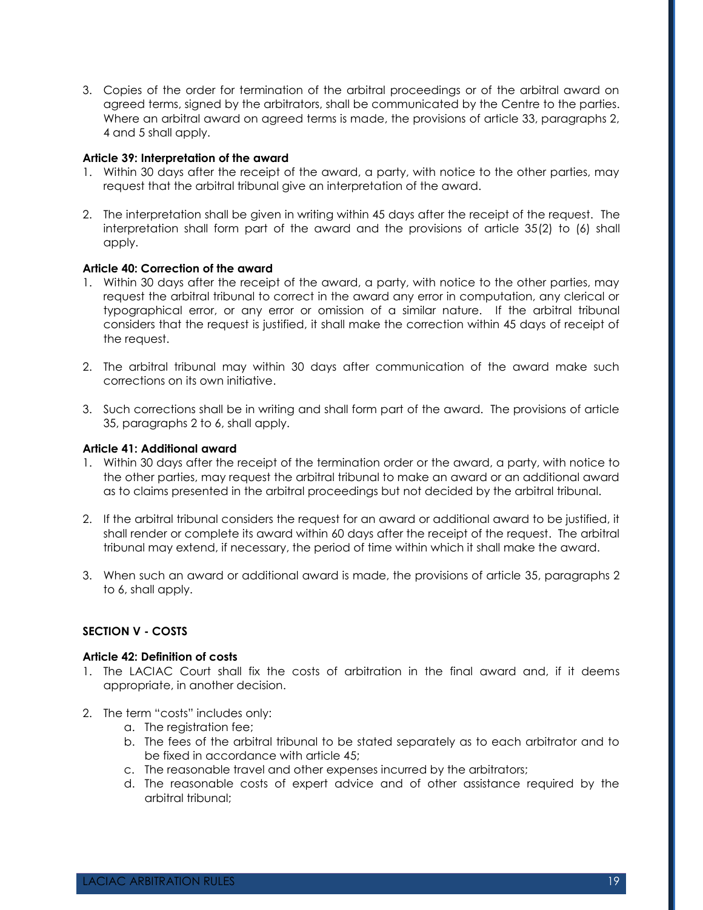3. Copies of the order for termination of the arbitral proceedings or of the arbitral award on agreed terms, signed by the arbitrators, shall be communicated by the Centre to the parties. Where an arbitral award on agreed terms is made, the provisions of article 33, paragraphs 2, 4 and 5 shall apply.

## **Article 39: Interpretation of the award**

- 1. Within 30 days after the receipt of the award, a party, with notice to the other parties, may request that the arbitral tribunal give an interpretation of the award.
- 2. The interpretation shall be given in writing within 45 days after the receipt of the request. The interpretation shall form part of the award and the provisions of article 35(2) to (6) shall apply.

### **Article 40: Correction of the award**

- 1. Within 30 days after the receipt of the award, a party, with notice to the other parties, may request the arbitral tribunal to correct in the award any error in computation, any clerical or typographical error, or any error or omission of a similar nature. If the arbitral tribunal considers that the request is justified, it shall make the correction within 45 days of receipt of the request.
- 2. The arbitral tribunal may within 30 days after communication of the award make such corrections on its own initiative.
- 3. Such corrections shall be in writing and shall form part of the award. The provisions of article 35, paragraphs 2 to 6, shall apply.

### **Article 41: Additional award**

- 1. Within 30 days after the receipt of the termination order or the award, a party, with notice to the other parties, may request the arbitral tribunal to make an award or an additional award as to claims presented in the arbitral proceedings but not decided by the arbitral tribunal.
- 2. If the arbitral tribunal considers the request for an award or additional award to be justified, it shall render or complete its award within 60 days after the receipt of the request. The arbitral tribunal may extend, if necessary, the period of time within which it shall make the award.
- 3. When such an award or additional award is made, the provisions of article 35, paragraphs 2 to 6, shall apply.

## **SECTION V - COSTS**

## **Article 42: Definition of costs**

- 1. The LACIAC Court shall fix the costs of arbitration in the final award and, if it deems appropriate, in another decision.
- 2. The term "costs" includes only:
	- a. The registration fee;
	- b. The fees of the arbitral tribunal to be stated separately as to each arbitrator and to be fixed in accordance with article 45;
	- c. The reasonable travel and other expenses incurred by the arbitrators;
	- d. The reasonable costs of expert advice and of other assistance required by the arbitral tribunal;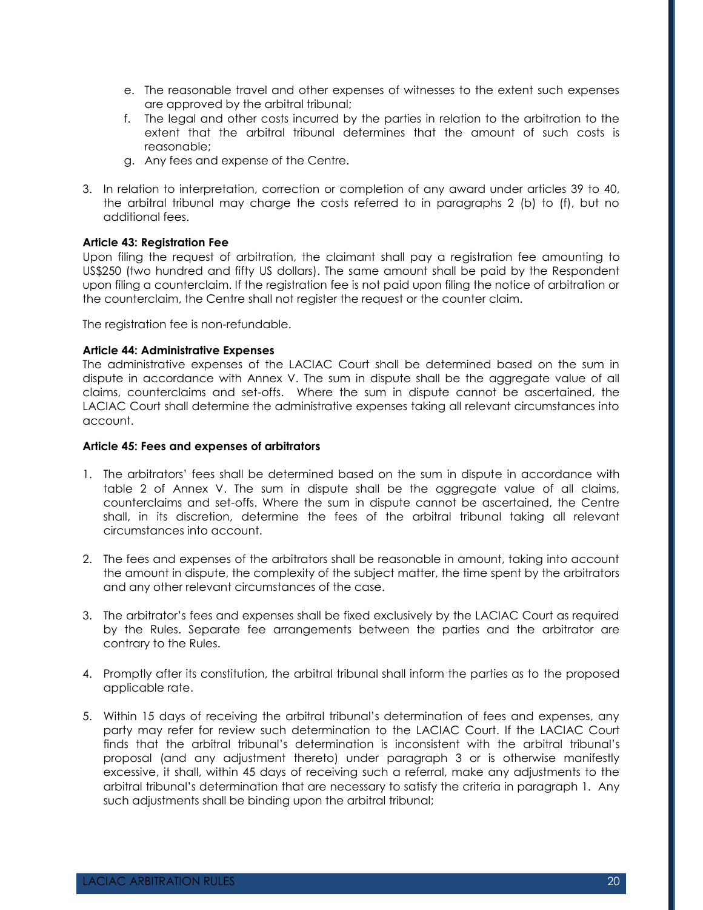- e. The reasonable travel and other expenses of witnesses to the extent such expenses are approved by the arbitral tribunal;
- f. The legal and other costs incurred by the parties in relation to the arbitration to the extent that the arbitral tribunal determines that the amount of such costs is reasonable;
- g. Any fees and expense of the Centre.
- 3. In relation to interpretation, correction or completion of any award under articles 39 to 40, the arbitral tribunal may charge the costs referred to in paragraphs 2 (b) to (f), but no additional fees.

## **Article 43: Registration Fee**

Upon filing the request of arbitration, the claimant shall pay a registration fee amounting to US\$250 (two hundred and fifty US dollars). The same amount shall be paid by the Respondent upon filing a counterclaim. If the registration fee is not paid upon filing the notice of arbitration or the counterclaim, the Centre shall not register the request or the counter claim.

The registration fee is non-refundable.

## **Article 44: Administrative Expenses**

The administrative expenses of the LACIAC Court shall be determined based on the sum in dispute in accordance with Annex V. The sum in dispute shall be the aggregate value of all claims, counterclaims and set-offs. Where the sum in dispute cannot be ascertained, the LACIAC Court shall determine the administrative expenses taking all relevant circumstances into account.

#### **Article 45: Fees and expenses of arbitrators**

- 1. The arbitrators' fees shall be determined based on the sum in dispute in accordance with table 2 of Annex V. The sum in dispute shall be the aggregate value of all claims, counterclaims and set-offs. Where the sum in dispute cannot be ascertained, the Centre shall, in its discretion, determine the fees of the arbitral tribunal taking all relevant circumstances into account.
- 2. The fees and expenses of the arbitrators shall be reasonable in amount, taking into account the amount in dispute, the complexity of the subject matter, the time spent by the arbitrators and any other relevant circumstances of the case.
- 3. The arbitrator's fees and expenses shall be fixed exclusively by the LACIAC Court as required by the Rules. Separate fee arrangements between the parties and the arbitrator are contrary to the Rules.
- 4. Promptly after its constitution, the arbitral tribunal shall inform the parties as to the proposed applicable rate.
- 5. Within 15 days of receiving the arbitral tribunal's determination of fees and expenses, any party may refer for review such determination to the LACIAC Court. If the LACIAC Court finds that the arbitral tribunal's determination is inconsistent with the arbitral tribunal's proposal (and any adjustment thereto) under paragraph 3 or is otherwise manifestly excessive, it shall, within 45 days of receiving such a referral, make any adjustments to the arbitral tribunal's determination that are necessary to satisfy the criteria in paragraph 1. Any such adjustments shall be binding upon the arbitral tribunal;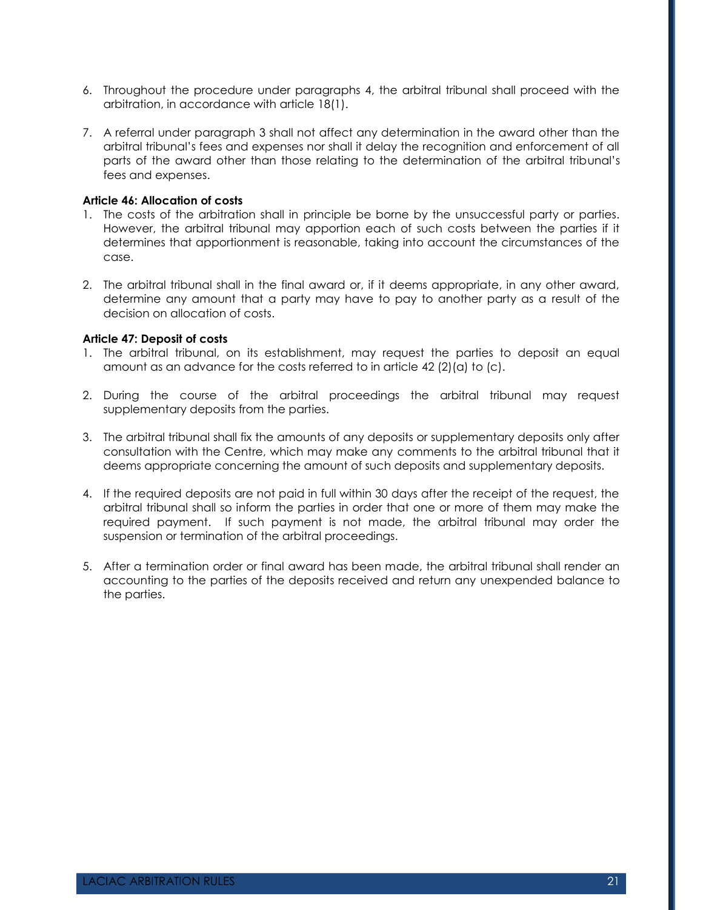- 6. Throughout the procedure under paragraphs 4, the arbitral tribunal shall proceed with the arbitration, in accordance with article 18(1).
- 7. A referral under paragraph 3 shall not affect any determination in the award other than the arbitral tribunal's fees and expenses nor shall it delay the recognition and enforcement of all parts of the award other than those relating to the determination of the arbitral tribunal's fees and expenses.

### **Article 46: Allocation of costs**

- 1. The costs of the arbitration shall in principle be borne by the unsuccessful party or parties. However, the arbitral tribunal may apportion each of such costs between the parties if it determines that apportionment is reasonable, taking into account the circumstances of the case.
- 2. The arbitral tribunal shall in the final award or, if it deems appropriate, in any other award, determine any amount that a party may have to pay to another party as a result of the decision on allocation of costs.

## **Article 47: Deposit of costs**

- 1. The arbitral tribunal, on its establishment, may request the parties to deposit an equal amount as an advance for the costs referred to in article 42  $(2)(a)$  to  $(c)$ .
- 2. During the course of the arbitral proceedings the arbitral tribunal may request supplementary deposits from the parties.
- 3. The arbitral tribunal shall fix the amounts of any deposits or supplementary deposits only after consultation with the Centre, which may make any comments to the arbitral tribunal that it deems appropriate concerning the amount of such deposits and supplementary deposits.
- 4. If the required deposits are not paid in full within 30 days after the receipt of the request, the arbitral tribunal shall so inform the parties in order that one or more of them may make the required payment. If such payment is not made, the arbitral tribunal may order the suspension or termination of the arbitral proceedings.
- 5. After a termination order or final award has been made, the arbitral tribunal shall render an accounting to the parties of the deposits received and return any unexpended balance to the parties.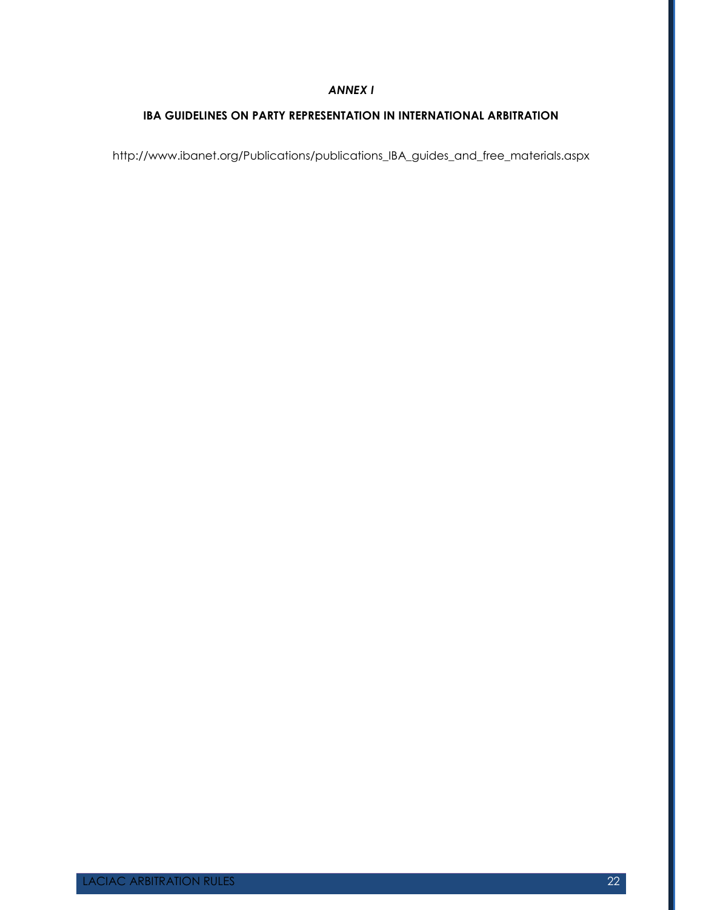## *ANNEX I*

## **IBA GUIDELINES ON PARTY REPRESENTATION IN INTERNATIONAL ARBITRATION**

http://www.ibanet.org/Publications/publications\_IBA\_guides\_and\_free\_materials.aspx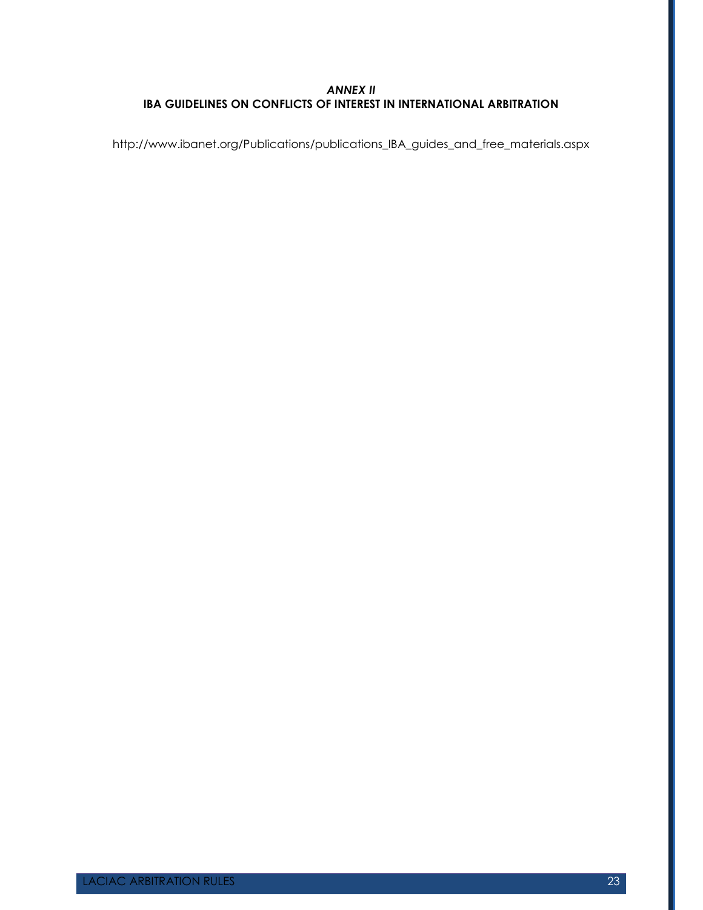## *ANNEX II* **IBA GUIDELINES ON CONFLICTS OF INTEREST IN INTERNATIONAL ARBITRATION**

http://www.ibanet.org/Publications/publications\_IBA\_guides\_and\_free\_materials.aspx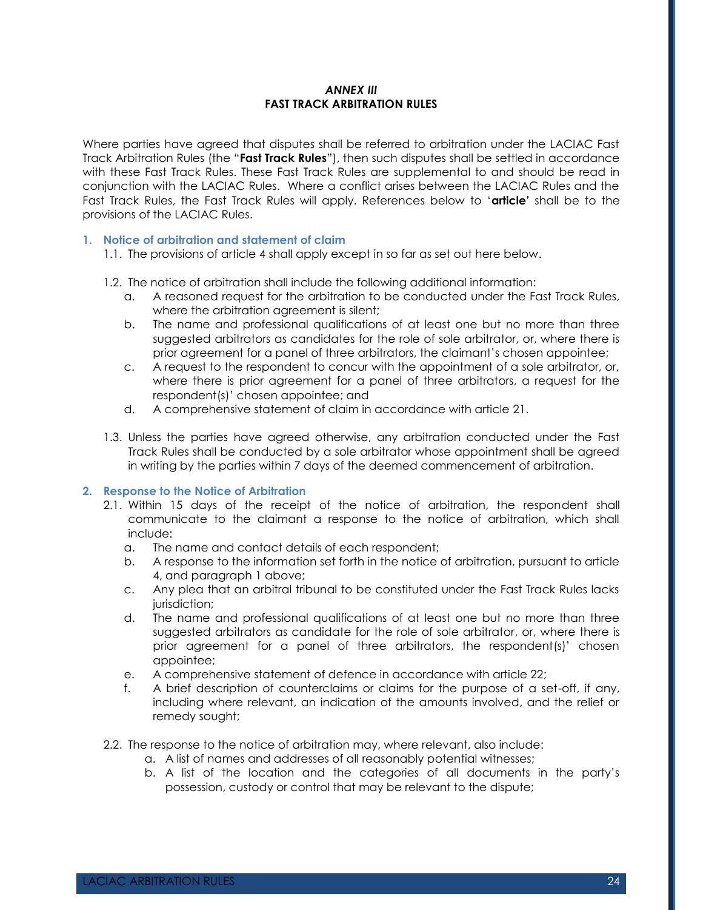## *ANNEX III* **FAST TRACK ARBITRATION RULES**

Where parties have agreed that disputes shall be referred to arbitration under the LACIAC Fast Track Arbitration Rules (the "**Fast Track Rules**"), then such disputes shall be settled in accordance with these Fast Track Rules. These Fast Track Rules are supplemental to and should be read in conjunction with the LACIAC Rules. Where a conflict arises between the LACIAC Rules and the Fast Track Rules, the Fast Track Rules will apply. References below to '**article'** shall be to the provisions of the LACIAC Rules.

## **1. Notice of arbitration and statement of claim**

1.1. The provisions of article 4 shall apply except in so far as set out here below.

- 1.2. The notice of arbitration shall include the following additional information:
	- a. A reasoned request for the arbitration to be conducted under the Fast Track Rules, where the arbitration agreement is silent;
	- b. The name and professional qualifications of at least one but no more than three suggested arbitrators as candidates for the role of sole arbitrator, or, where there is prior agreement for a panel of three arbitrators, the claimant's chosen appointee;
	- c. A request to the respondent to concur with the appointment of a sole arbitrator, or, where there is prior agreement for a panel of three arbitrators, a request for the respondent(s)' chosen appointee; and
	- d. A comprehensive statement of claim in accordance with article 21.
- 1.3. Unless the parties have agreed otherwise, any arbitration conducted under the Fast Track Rules shall be conducted by a sole arbitrator whose appointment shall be agreed in writing by the parties within 7 days of the deemed commencement of arbitration.

## **2. Response to the Notice of Arbitration**

- 2.1. Within 15 days of the receipt of the notice of arbitration, the respondent shall communicate to the claimant a response to the notice of arbitration, which shall include:
	- a. The name and contact details of each respondent;
	- b. A response to the information set forth in the notice of arbitration, pursuant to article 4, and paragraph 1 above;
	- c. Any plea that an arbitral tribunal to be constituted under the Fast Track Rules lacks jurisdiction;
	- d. The name and professional qualifications of at least one but no more than three suggested arbitrators as candidate for the role of sole arbitrator, or, where there is prior agreement for a panel of three arbitrators, the respondent(s)' chosen appointee;
	- e. A comprehensive statement of defence in accordance with article 22;
	- f. A brief description of counterclaims or claims for the purpose of a set-off, if any, including where relevant, an indication of the amounts involved, and the relief or remedy sought;
- 2.2. The response to the notice of arbitration may, where relevant, also include:
	- a. A list of names and addresses of all reasonably potential witnesses;
	- b. A list of the location and the categories of all documents in the party's possession, custody or control that may be relevant to the dispute;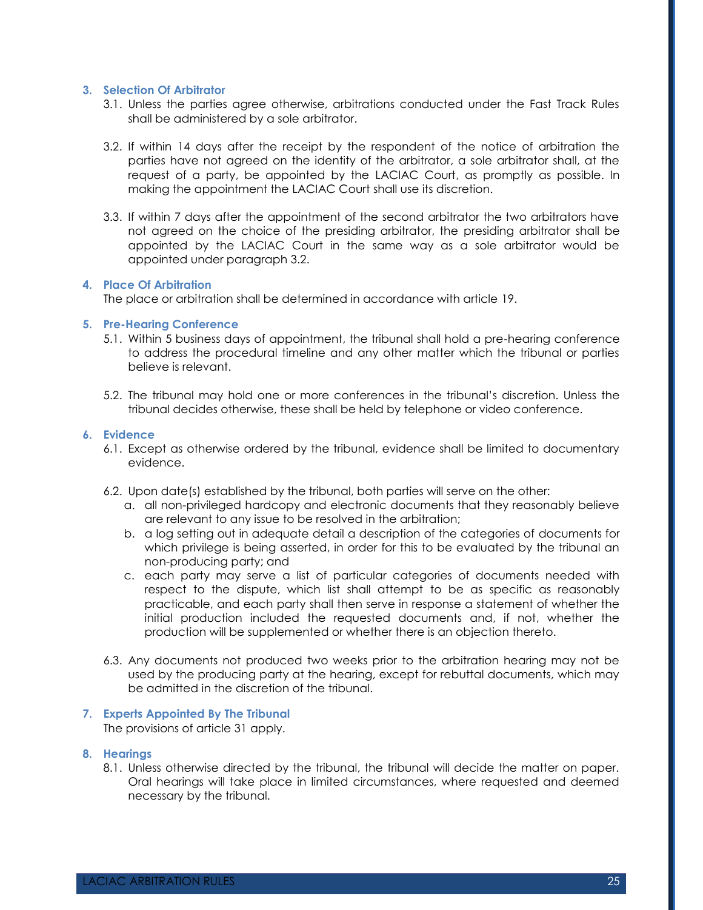### **3. Selection Of Arbitrator**

- 3.1. Unless the parties agree otherwise, arbitrations conducted under the Fast Track Rules shall be administered by a sole arbitrator.
- 3.2. If within 14 days after the receipt by the respondent of the notice of arbitration the parties have not agreed on the identity of the arbitrator, a sole arbitrator shall, at the request of a party, be appointed by the LACIAC Court, as promptly as possible. In making the appointment the LACIAC Court shall use its discretion.
- 3.3. If within 7 days after the appointment of the second arbitrator the two arbitrators have not agreed on the choice of the presiding arbitrator, the presiding arbitrator shall be appointed by the LACIAC Court in the same way as a sole arbitrator would be appointed under paragraph 3.2.

#### **4. Place Of Arbitration**

The place or arbitration shall be determined in accordance with article 19.

## **5. Pre-Hearing Conference**

- 5.1. Within 5 business days of appointment, the tribunal shall hold a pre-hearing conference to address the procedural timeline and any other matter which the tribunal or parties believe is relevant.
- 5.2. The tribunal may hold one or more conferences in the tribunal's discretion. Unless the tribunal decides otherwise, these shall be held by telephone or video conference.

## **6. Evidence**

- 6.1. Except as otherwise ordered by the tribunal, evidence shall be limited to documentary evidence.
- 6.2. Upon date(s) established by the tribunal, both parties will serve on the other:
	- a. all non-privileged hardcopy and electronic documents that they reasonably believe are relevant to any issue to be resolved in the arbitration;
	- b. a log setting out in adequate detail a description of the categories of documents for which privilege is being asserted, in order for this to be evaluated by the tribunal an non-producing party; and
	- c. each party may serve a list of particular categories of documents needed with respect to the dispute, which list shall attempt to be as specific as reasonably practicable, and each party shall then serve in response a statement of whether the initial production included the requested documents and, if not, whether the production will be supplemented or whether there is an objection thereto.
- 6.3. Any documents not produced two weeks prior to the arbitration hearing may not be used by the producing party at the hearing, except for rebuttal documents, which may be admitted in the discretion of the tribunal.

## **7. Experts Appointed By The Tribunal**

The provisions of article 31 apply.

#### **8. Hearings**

8.1. Unless otherwise directed by the tribunal, the tribunal will decide the matter on paper. Oral hearings will take place in limited circumstances, where requested and deemed necessary by the tribunal.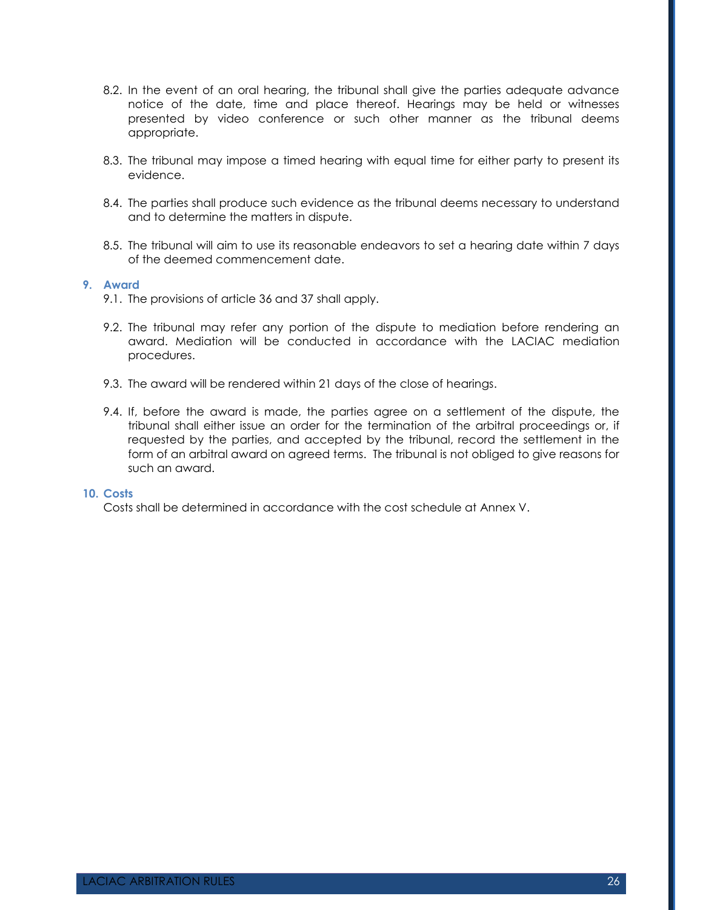- 8.2. In the event of an oral hearing, the tribunal shall give the parties adequate advance notice of the date, time and place thereof. Hearings may be held or witnesses presented by video conference or such other manner as the tribunal deems appropriate.
- 8.3. The tribunal may impose a timed hearing with equal time for either party to present its evidence.
- 8.4. The parties shall produce such evidence as the tribunal deems necessary to understand and to determine the matters in dispute.
- 8.5. The tribunal will aim to use its reasonable endeavors to set a hearing date within 7 days of the deemed commencement date.

#### **9. Award**

- 9.1. The provisions of article 36 and 37 shall apply.
- 9.2. The tribunal may refer any portion of the dispute to mediation before rendering an award. Mediation will be conducted in accordance with the LACIAC mediation procedures.
- 9.3. The award will be rendered within 21 days of the close of hearings.
- 9.4. If, before the award is made, the parties agree on a settlement of the dispute, the tribunal shall either issue an order for the termination of the arbitral proceedings or, if requested by the parties, and accepted by the tribunal, record the settlement in the form of an arbitral award on agreed terms. The tribunal is not obliged to give reasons for such an award.

### **10. Costs**

Costs shall be determined in accordance with the cost schedule at Annex V.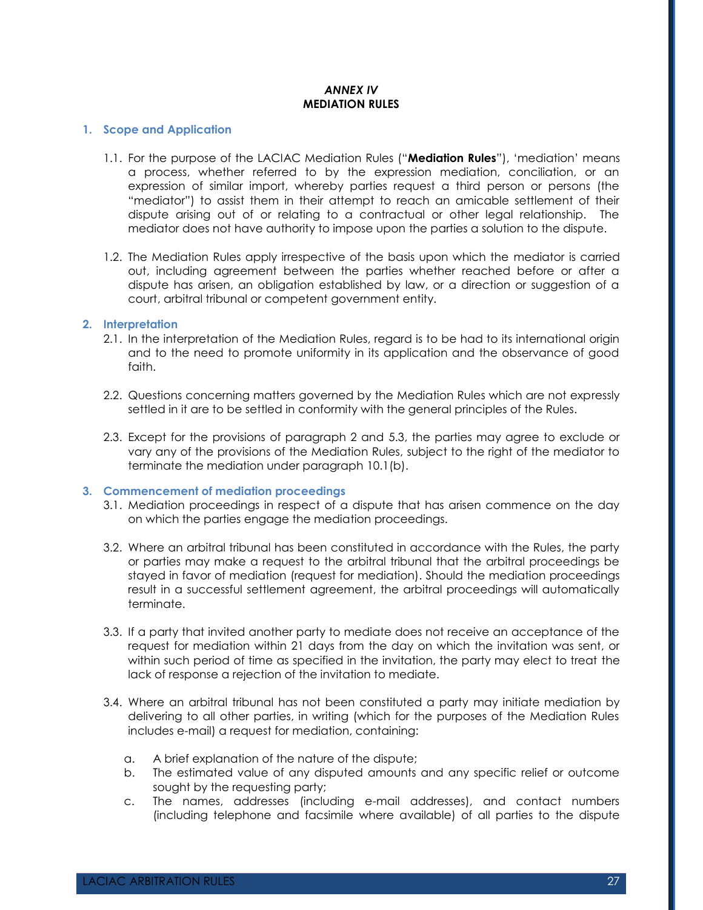## *ANNEX IV* **MEDIATION RULES**

#### **1. Scope and Application**

- 1.1. For the purpose of the LACIAC Mediation Rules ("**Mediation Rules**"), 'mediation' means a process, whether referred to by the expression mediation, conciliation, or an expression of similar import, whereby parties request a third person or persons (the "mediator") to assist them in their attempt to reach an amicable settlement of their dispute arising out of or relating to a contractual or other legal relationship. The mediator does not have authority to impose upon the parties a solution to the dispute.
- 1.2. The Mediation Rules apply irrespective of the basis upon which the mediator is carried out, including agreement between the parties whether reached before or after a dispute has arisen, an obligation established by law, or a direction or suggestion of a court, arbitral tribunal or competent government entity.

#### **2. Interpretation**

- 2.1. In the interpretation of the Mediation Rules, regard is to be had to its international origin and to the need to promote uniformity in its application and the observance of good faith.
- 2.2. Questions concerning matters governed by the Mediation Rules which are not expressly settled in it are to be settled in conformity with the general principles of the Rules.
- 2.3. Except for the provisions of paragraph 2 and 5.3, the parties may agree to exclude or vary any of the provisions of the Mediation Rules, subject to the right of the mediator to terminate the mediation under paragraph 10.1(b).

#### **3. Commencement of mediation proceedings**

- 3.1. Mediation proceedings in respect of a dispute that has arisen commence on the day on which the parties engage the mediation proceedings.
- 3.2. Where an arbitral tribunal has been constituted in accordance with the Rules, the party or parties may make a request to the arbitral tribunal that the arbitral proceedings be stayed in favor of mediation (request for mediation). Should the mediation proceedings result in a successful settlement agreement, the arbitral proceedings will automatically terminate.
- 3.3. If a party that invited another party to mediate does not receive an acceptance of the request for mediation within 21 days from the day on which the invitation was sent, or within such period of time as specified in the invitation, the party may elect to treat the lack of response a rejection of the invitation to mediate.
- 3.4. Where an arbitral tribunal has not been constituted a party may initiate mediation by delivering to all other parties, in writing (which for the purposes of the Mediation Rules includes e-mail) a request for mediation, containing:
	- a. A brief explanation of the nature of the dispute;
	- b. The estimated value of any disputed amounts and any specific relief or outcome sought by the requesting party;
	- c. The names, addresses (including e-mail addresses), and contact numbers (including telephone and facsimile where available) of all parties to the dispute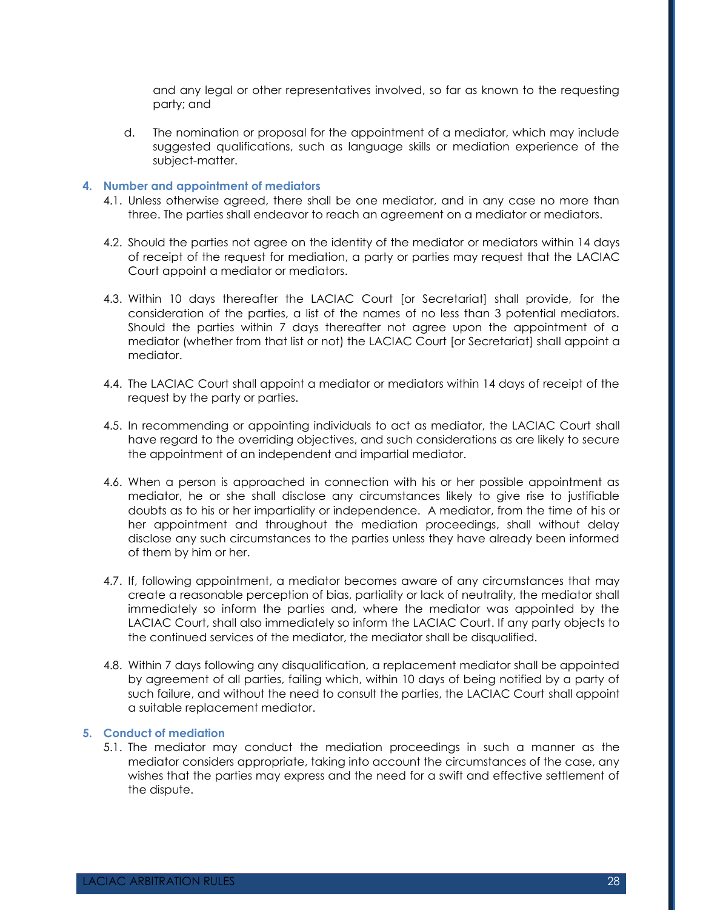and any legal or other representatives involved, so far as known to the requesting party; and

d. The nomination or proposal for the appointment of a mediator, which may include suggested qualifications, such as language skills or mediation experience of the subject-matter.

#### **4. Number and appointment of mediators**

- 4.1. Unless otherwise agreed, there shall be one mediator, and in any case no more than three. The parties shall endeavor to reach an agreement on a mediator or mediators.
- 4.2. Should the parties not agree on the identity of the mediator or mediators within 14 days of receipt of the request for mediation, a party or parties may request that the LACIAC Court appoint a mediator or mediators.
- 4.3. Within 10 days thereafter the LACIAC Court [or Secretariat] shall provide, for the consideration of the parties, a list of the names of no less than 3 potential mediators. Should the parties within 7 days thereafter not agree upon the appointment of a mediator (whether from that list or not) the LACIAC Court [or Secretariat] shall appoint a mediator.
- 4.4. The LACIAC Court shall appoint a mediator or mediators within 14 days of receipt of the request by the party or parties.
- 4.5. In recommending or appointing individuals to act as mediator, the LACIAC Court shall have regard to the overriding objectives, and such considerations as are likely to secure the appointment of an independent and impartial mediator.
- 4.6. When a person is approached in connection with his or her possible appointment as mediator, he or she shall disclose any circumstances likely to give rise to justifiable doubts as to his or her impartiality or independence. A mediator, from the time of his or her appointment and throughout the mediation proceedings, shall without delay disclose any such circumstances to the parties unless they have already been informed of them by him or her.
- 4.7. If, following appointment, a mediator becomes aware of any circumstances that may create a reasonable perception of bias, partiality or lack of neutrality, the mediator shall immediately so inform the parties and, where the mediator was appointed by the LACIAC Court, shall also immediately so inform the LACIAC Court. If any party objects to the continued services of the mediator, the mediator shall be disqualified.
- 4.8. Within 7 days following any disqualification, a replacement mediator shall be appointed by agreement of all parties, failing which, within 10 days of being notified by a party of such failure, and without the need to consult the parties, the LACIAC Court shall appoint a suitable replacement mediator.

#### **5. Conduct of mediation**

5.1. The mediator may conduct the mediation proceedings in such a manner as the mediator considers appropriate, taking into account the circumstances of the case, any wishes that the parties may express and the need for a swift and effective settlement of the dispute.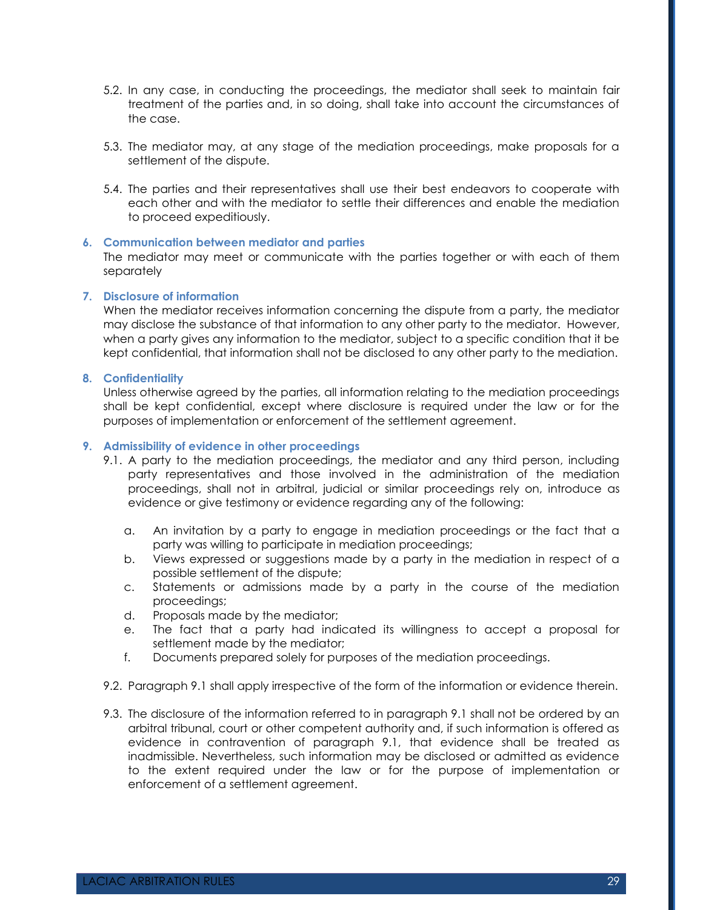- 5.2. In any case, in conducting the proceedings, the mediator shall seek to maintain fair treatment of the parties and, in so doing, shall take into account the circumstances of the case.
- 5.3. The mediator may, at any stage of the mediation proceedings, make proposals for a settlement of the dispute.
- 5.4. The parties and their representatives shall use their best endeavors to cooperate with each other and with the mediator to settle their differences and enable the mediation to proceed expeditiously.

#### **6. Communication between mediator and parties**

The mediator may meet or communicate with the parties together or with each of them separately

## **7. Disclosure of information**

When the mediator receives information concerning the dispute from a party, the mediator may disclose the substance of that information to any other party to the mediator. However, when a party gives any information to the mediator, subject to a specific condition that it be kept confidential, that information shall not be disclosed to any other party to the mediation.

#### **8. Confidentiality**

Unless otherwise agreed by the parties, all information relating to the mediation proceedings shall be kept confidential, except where disclosure is required under the law or for the purposes of implementation or enforcement of the settlement agreement.

## **9. Admissibility of evidence in other proceedings**

- 9.1. A party to the mediation proceedings, the mediator and any third person, including party representatives and those involved in the administration of the mediation proceedings, shall not in arbitral, judicial or similar proceedings rely on, introduce as evidence or give testimony or evidence regarding any of the following:
	- a. An invitation by a party to engage in mediation proceedings or the fact that a party was willing to participate in mediation proceedings;
	- b. Views expressed or suggestions made by a party in the mediation in respect of a possible settlement of the dispute;
	- c. Statements or admissions made by a party in the course of the mediation proceedings;
	- d. Proposals made by the mediator;
	- e. The fact that a party had indicated its willingness to accept a proposal for settlement made by the mediator;
	- f. Documents prepared solely for purposes of the mediation proceedings.
- 9.2. Paragraph 9.1 shall apply irrespective of the form of the information or evidence therein.
- 9.3. The disclosure of the information referred to in paragraph 9.1 shall not be ordered by an arbitral tribunal, court or other competent authority and, if such information is offered as evidence in contravention of paragraph 9.1, that evidence shall be treated as inadmissible. Nevertheless, such information may be disclosed or admitted as evidence to the extent required under the law or for the purpose of implementation or enforcement of a settlement agreement.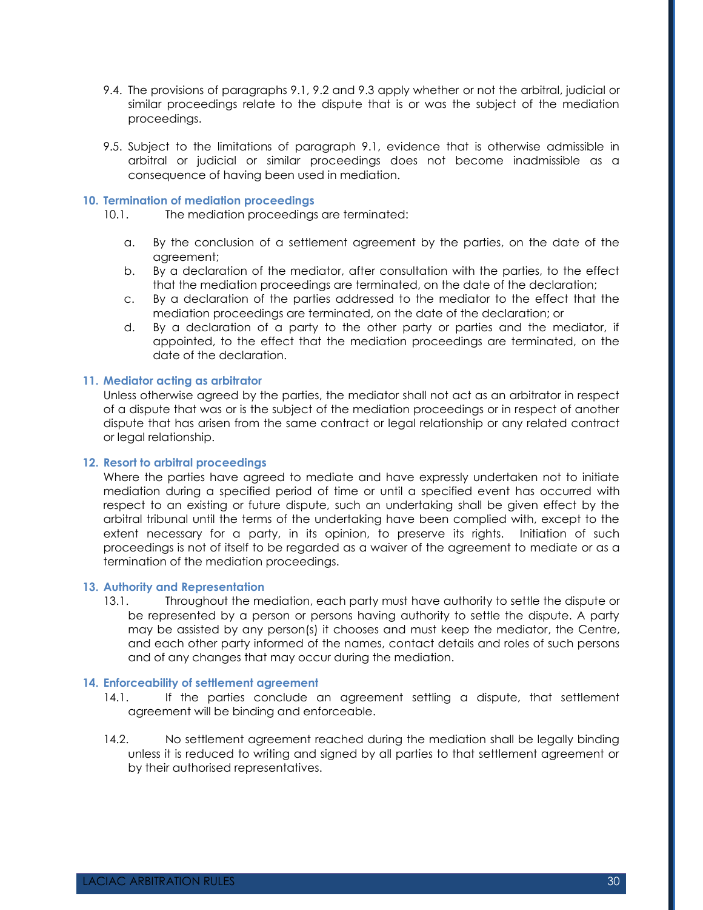- 9.4. The provisions of paragraphs 9.1, 9.2 and 9.3 apply whether or not the arbitral, judicial or similar proceedings relate to the dispute that is or was the subject of the mediation proceedings.
- 9.5. Subject to the limitations of paragraph 9.1, evidence that is otherwise admissible in arbitral or judicial or similar proceedings does not become inadmissible as a consequence of having been used in mediation.

### **10. Termination of mediation proceedings**

- 10.1. The mediation proceedings are terminated:
	- a. By the conclusion of a settlement agreement by the parties, on the date of the agreement;
	- b. By a declaration of the mediator, after consultation with the parties, to the effect that the mediation proceedings are terminated, on the date of the declaration;
	- c. By a declaration of the parties addressed to the mediator to the effect that the mediation proceedings are terminated, on the date of the declaration; or
	- d. By a declaration of a party to the other party or parties and the mediator, if appointed, to the effect that the mediation proceedings are terminated, on the date of the declaration.

## **11. Mediator acting as arbitrator**

Unless otherwise agreed by the parties, the mediator shall not act as an arbitrator in respect of a dispute that was or is the subject of the mediation proceedings or in respect of another dispute that has arisen from the same contract or legal relationship or any related contract or legal relationship.

#### **12. Resort to arbitral proceedings**

Where the parties have agreed to mediate and have expressly undertaken not to initiate mediation during a specified period of time or until a specified event has occurred with respect to an existing or future dispute, such an undertaking shall be given effect by the arbitral tribunal until the terms of the undertaking have been complied with, except to the extent necessary for a party, in its opinion, to preserve its rights. Initiation of such proceedings is not of itself to be regarded as a waiver of the agreement to mediate or as a termination of the mediation proceedings.

## **13. Authority and Representation**

13.1. Throughout the mediation, each party must have authority to settle the dispute or be represented by a person or persons having authority to settle the dispute. A party may be assisted by any person(s) it chooses and must keep the mediator, the Centre, and each other party informed of the names, contact details and roles of such persons and of any changes that may occur during the mediation.

#### **14. Enforceability of settlement agreement**

- 14.1. If the parties conclude an agreement settling a dispute, that settlement agreement will be binding and enforceable.
- 14.2. No settlement agreement reached during the mediation shall be legally binding unless it is reduced to writing and signed by all parties to that settlement agreement or by their authorised representatives.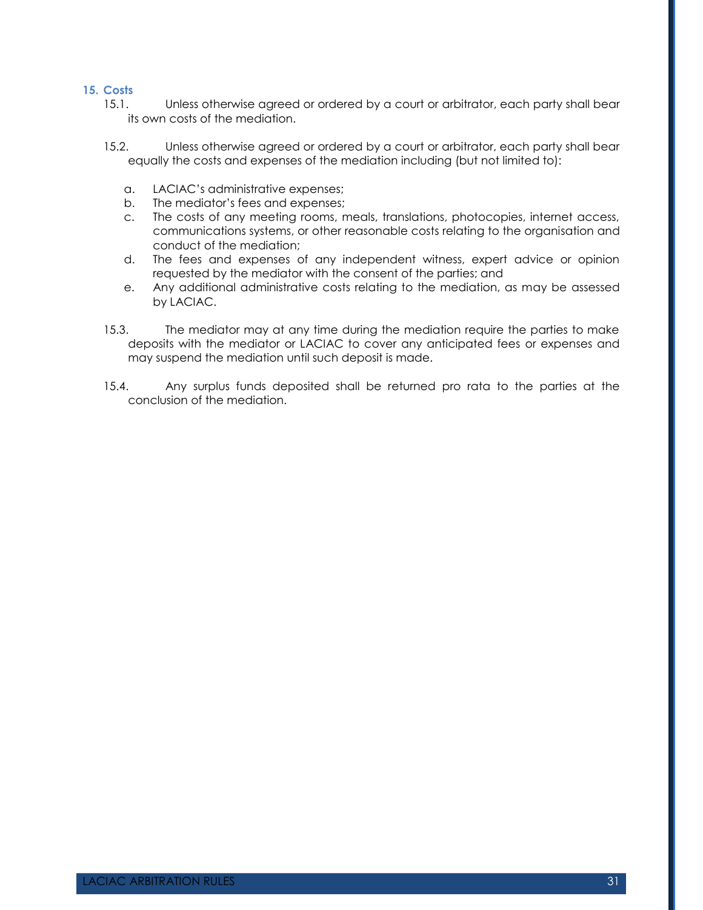## **15. Costs**

- 15.1. Unless otherwise agreed or ordered by a court or arbitrator, each party shall bear its own costs of the mediation.
- 15.2. Unless otherwise agreed or ordered by a court or arbitrator, each party shall bear equally the costs and expenses of the mediation including (but not limited to):
	- a. LACIAC's administrative expenses;
	- b. The mediator's fees and expenses;
	- c. The costs of any meeting rooms, meals, translations, photocopies, internet access, communications systems, or other reasonable costs relating to the organisation and conduct of the mediation;
	- d. The fees and expenses of any independent witness, expert advice or opinion requested by the mediator with the consent of the parties; and
	- e. Any additional administrative costs relating to the mediation, as may be assessed by LACIAC.
- 15.3. The mediator may at any time during the mediation require the parties to make deposits with the mediator or LACIAC to cover any anticipated fees or expenses and may suspend the mediation until such deposit is made.
- 15.4. Any surplus funds deposited shall be returned pro rata to the parties at the conclusion of the mediation.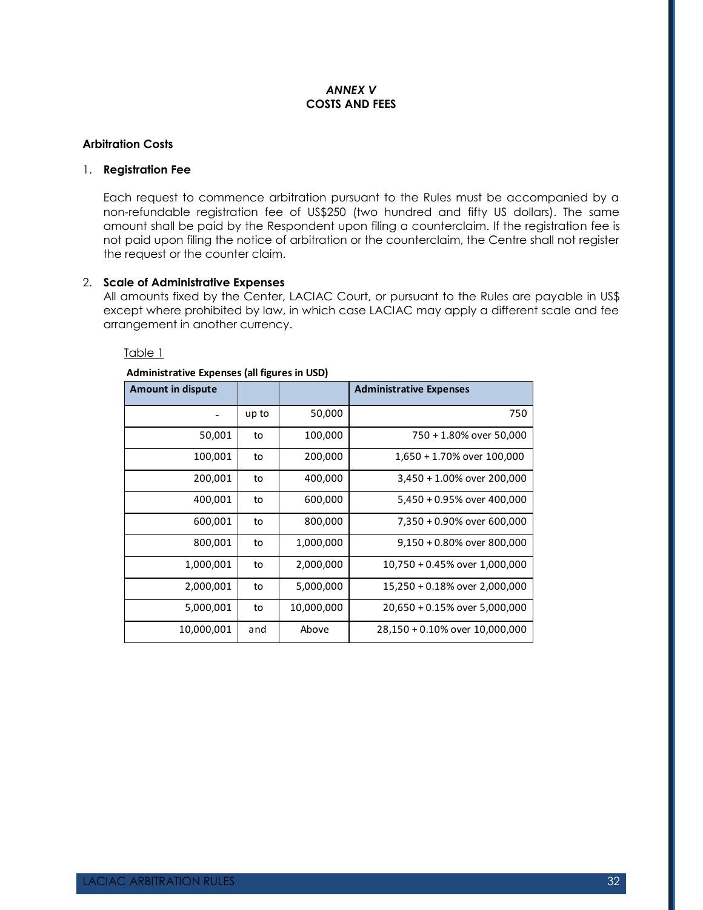## *ANNEX V* **COSTS AND FEES**

### **Arbitration Costs**

## 1. **Registration Fee**

Each request to commence arbitration pursuant to the Rules must be accompanied by a non-refundable registration fee of US\$250 (two hundred and fifty US dollars). The same amount shall be paid by the Respondent upon filing a counterclaim. If the registration fee is not paid upon filing the notice of arbitration or the counterclaim, the Centre shall not register the request or the counter claim.

## 2. **Scale of Administrative Expenses**

All amounts fixed by the Center, LACIAC Court, or pursuant to the Rules are payable in US\$ except where prohibited by law, in which case LACIAC may apply a different scale and fee arrangement in another currency.

#### Table 1

| <b>Amount in dispute</b> |       |            | <b>Administrative Expenses</b> |
|--------------------------|-------|------------|--------------------------------|
|                          | up to | 50,000     | 750                            |
| 50,001                   | to    | 100,000    | 750 + 1.80% over 50,000        |
| 100,001                  | to    | 200,000    | 1,650 + 1.70% over 100,000     |
| 200,001                  | to    | 400,000    | $3,450 + 1.00\%$ over 200,000  |
| 400,001                  | to    | 600,000    | 5,450 + 0.95% over 400,000     |
| 600,001                  | to    | 800,000    | 7,350 + 0.90% over 600,000     |
| 800,001                  | to    | 1,000,000  | $9,150 + 0.80\%$ over 800,000  |
| 1,000,001                | to    | 2,000,000  | 10,750 + 0.45% over 1,000,000  |
| 2,000,001                | to    | 5,000,000  | 15,250 + 0.18% over 2,000,000  |
| 5,000,001                | to    | 10,000,000 | 20,650 + 0.15% over 5,000,000  |
| 10,000,001               | and   | Above      | 28,150 + 0.10% over 10,000,000 |

#### **Administrative Expenses (all figures in USD)**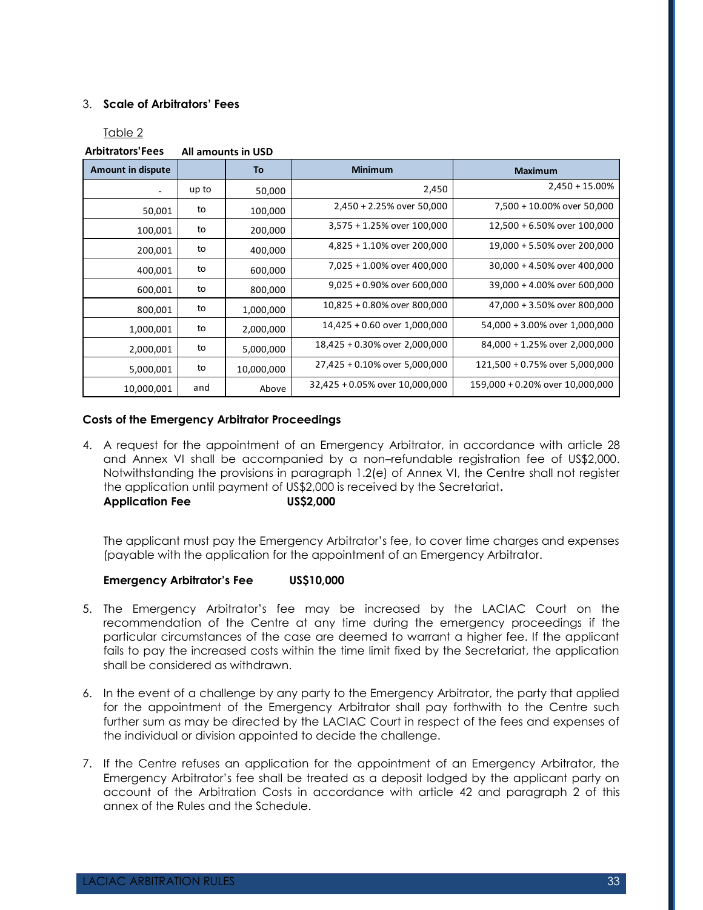## 3. **Scale of Arbitrators' Fees**

Table 2

**Arbitrators'Fees All amounts in USD**

| <b>Amount in dispute</b> |       | To         | <b>Minimum</b>                 | <b>Maximum</b>                  |
|--------------------------|-------|------------|--------------------------------|---------------------------------|
|                          | up to | 50,000     | 2,450                          | $2,450 + 15.00\%$               |
| 50,001                   | to    | 100,000    | 2,450 + 2.25% over 50,000      | 7,500 + 10.00% over 50,000      |
| 100,001                  | to    | 200,000    | 3,575 + 1.25% over 100,000     | 12,500 + 6.50% over 100,000     |
| 200,001                  | to    | 400,000    | 4,825 + 1.10% over 200,000     | 19,000 + 5.50% over 200,000     |
| 400,001                  | to    | 600,000    | 7,025 + 1.00% over 400,000     | 30,000 + 4.50% over 400,000     |
| 600,001                  | to    | 800,000    | $9,025 + 0.90\%$ over 600,000  | 39,000 + 4.00% over 600,000     |
| 800,001                  | to    | 1,000,000  | 10,825 + 0.80% over 800,000    | 47,000 + 3.50% over 800,000     |
| 1,000,001                | to    | 2,000,000  | 14,425 + 0.60 over 1,000,000   | 54,000 + 3.00% over 1,000,000   |
| 2,000,001                | to    | 5,000,000  | 18,425 + 0.30% over 2,000,000  | 84,000 + 1.25% over 2,000,000   |
| 5,000,001                | to    | 10,000,000 | 27,425 + 0.10% over 5,000,000  | 121,500 + 0.75% over 5,000,000  |
| 10,000,001               | and   | Above      | 32,425 + 0.05% over 10,000,000 | 159,000 + 0.20% over 10,000,000 |

#### **Costs of the Emergency Arbitrator Proceedings**

4. A request for the appointment of an Emergency Arbitrator, in accordance with article 28 and Annex VI shall be accompanied by a non–refundable registration fee of US\$2,000. Notwithstanding the provisions in paragraph 1.2(e) of Annex VI, the Centre shall not register the application until payment of US\$2,000 is received by the Secretariat**. Application Fee US\$2,000**

The applicant must pay the Emergency Arbitrator's fee, to cover time charges and expenses (payable with the application for the appointment of an Emergency Arbitrator.

#### **Emergency Arbitrator's Fee US\$10,000**

- 5. The Emergency Arbitrator's fee may be increased by the LACIAC Court on the recommendation of the Centre at any time during the emergency proceedings if the particular circumstances of the case are deemed to warrant a higher fee. If the applicant fails to pay the increased costs within the time limit fixed by the Secretariat, the application shall be considered as withdrawn.
- 6. In the event of a challenge by any party to the Emergency Arbitrator, the party that applied for the appointment of the Emergency Arbitrator shall pay forthwith to the Centre such further sum as may be directed by the LACIAC Court in respect of the fees and expenses of the individual or division appointed to decide the challenge.
- 7. If the Centre refuses an application for the appointment of an Emergency Arbitrator, the Emergency Arbitrator's fee shall be treated as a deposit lodged by the applicant party on account of the Arbitration Costs in accordance with article 42 and paragraph 2 of this annex of the Rules and the Schedule.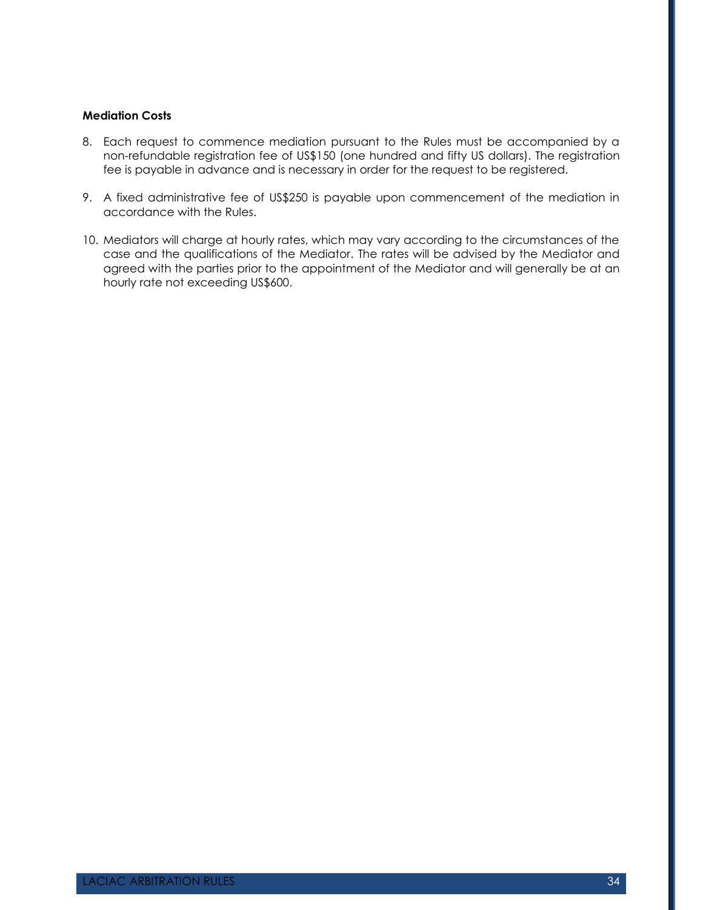### **Mediation Costs**

- 8. Each request to commence mediation pursuant to the Rules must be accompanied by a non-refundable registration fee of US\$150 (one hundred and fifty US dollars). The registration fee is payable in advance and is necessary in order for the request to be registered.
- 9. A fixed administrative fee of US\$250 is payable upon commencement of the mediation in accordance with the Rules.
- 10. Mediators will charge at hourly rates, which may vary according to the circumstances of the case and the qualifications of the Mediator. The rates will be advised by the Mediator and agreed with the parties prior to the appointment of the Mediator and will generally be at an hourly rate not exceeding US\$600.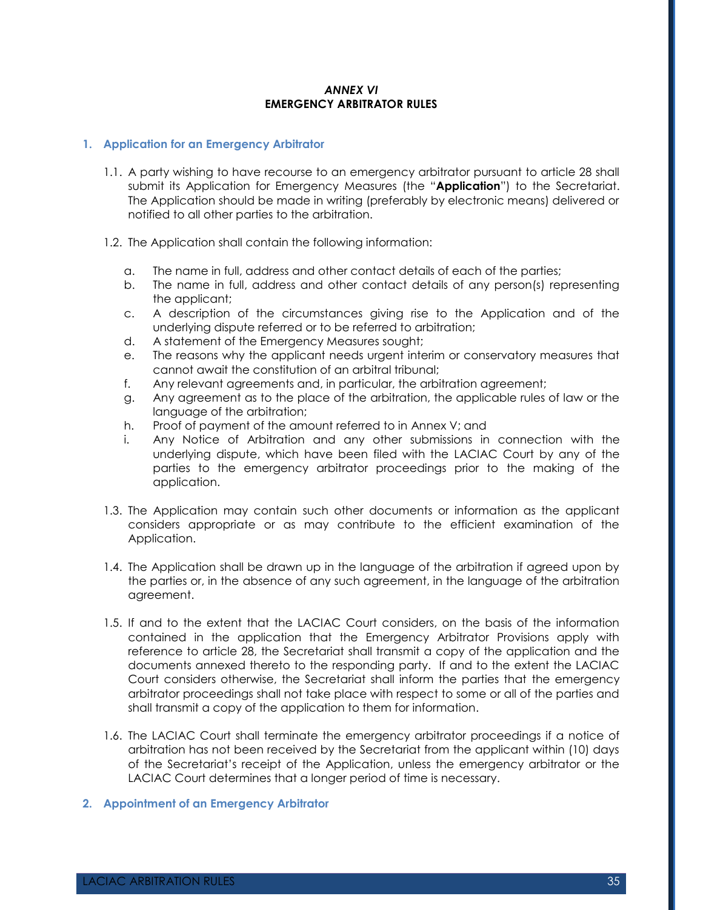## *ANNEX VI* **EMERGENCY ARBITRATOR RULES**

### **1. Application for an Emergency Arbitrator**

- 1.1. A party wishing to have recourse to an emergency arbitrator pursuant to article 28 shall submit its Application for Emergency Measures (the "**Application**") to the Secretariat. The Application should be made in writing (preferably by electronic means) delivered or notified to all other parties to the arbitration.
- 1.2. The Application shall contain the following information:
	- a. The name in full, address and other contact details of each of the parties;
	- b. The name in full, address and other contact details of any person(s) representing the applicant;
	- c. A description of the circumstances giving rise to the Application and of the underlying dispute referred or to be referred to arbitration;
	- d. A statement of the Emergency Measures sought;
	- e. The reasons why the applicant needs urgent interim or conservatory measures that cannot await the constitution of an arbitral tribunal;
	- f. Any relevant agreements and, in particular, the arbitration agreement;
	- g. Any agreement as to the place of the arbitration, the applicable rules of law or the language of the arbitration;
	- h. Proof of payment of the amount referred to in Annex V; and
	- i. Any Notice of Arbitration and any other submissions in connection with the underlying dispute, which have been filed with the LACIAC Court by any of the parties to the emergency arbitrator proceedings prior to the making of the application.
- 1.3. The Application may contain such other documents or information as the applicant considers appropriate or as may contribute to the efficient examination of the Application.
- 1.4. The Application shall be drawn up in the language of the arbitration if agreed upon by the parties or, in the absence of any such agreement, in the language of the arbitration agreement.
- 1.5. If and to the extent that the LACIAC Court considers, on the basis of the information contained in the application that the Emergency Arbitrator Provisions apply with reference to article 28, the Secretariat shall transmit a copy of the application and the documents annexed thereto to the responding party. If and to the extent the LACIAC Court considers otherwise, the Secretariat shall inform the parties that the emergency arbitrator proceedings shall not take place with respect to some or all of the parties and shall transmit a copy of the application to them for information.
- 1.6. The LACIAC Court shall terminate the emergency arbitrator proceedings if a notice of arbitration has not been received by the Secretariat from the applicant within (10) days of the Secretariat's receipt of the Application, unless the emergency arbitrator or the LACIAC Court determines that a longer period of time is necessary.

## **2. Appointment of an Emergency Arbitrator**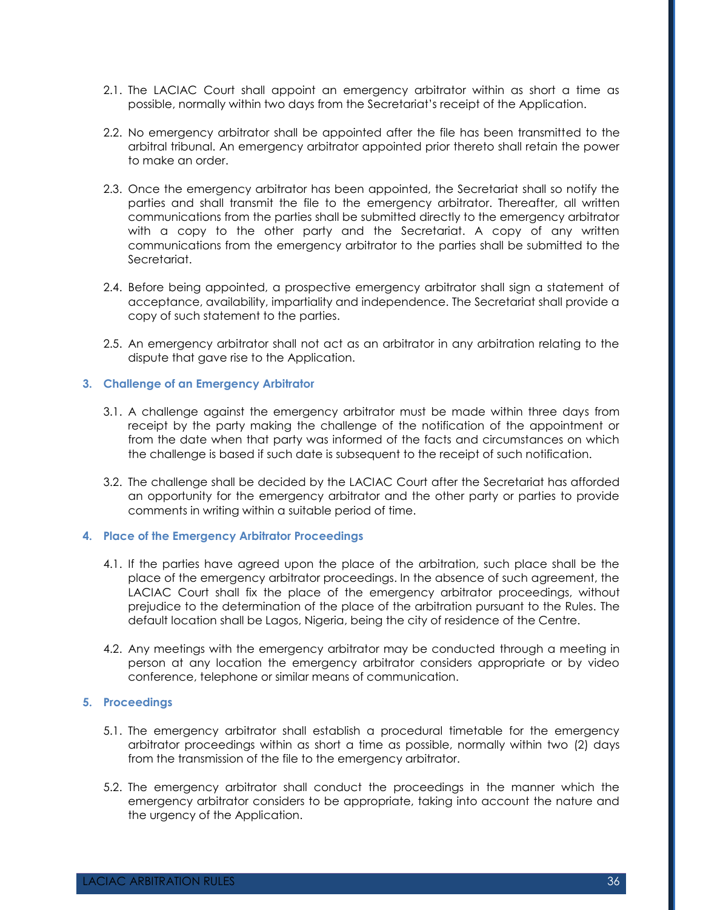- 2.1. The LACIAC Court shall appoint an emergency arbitrator within as short a time as possible, normally within two days from the Secretariat's receipt of the Application.
- 2.2. No emergency arbitrator shall be appointed after the file has been transmitted to the arbitral tribunal. An emergency arbitrator appointed prior thereto shall retain the power to make an order.
- 2.3. Once the emergency arbitrator has been appointed, the Secretariat shall so notify the parties and shall transmit the file to the emergency arbitrator. Thereafter, all written communications from the parties shall be submitted directly to the emergency arbitrator with a copy to the other party and the Secretariat. A copy of any written communications from the emergency arbitrator to the parties shall be submitted to the Secretariat.
- 2.4. Before being appointed, a prospective emergency arbitrator shall sign a statement of acceptance, availability, impartiality and independence. The Secretariat shall provide a copy of such statement to the parties.
- 2.5. An emergency arbitrator shall not act as an arbitrator in any arbitration relating to the dispute that gave rise to the Application.

#### **3. Challenge of an Emergency Arbitrator**

- 3.1. A challenge against the emergency arbitrator must be made within three days from receipt by the party making the challenge of the notification of the appointment or from the date when that party was informed of the facts and circumstances on which the challenge is based if such date is subsequent to the receipt of such notification.
- 3.2. The challenge shall be decided by the LACIAC Court after the Secretariat has afforded an opportunity for the emergency arbitrator and the other party or parties to provide comments in writing within a suitable period of time.

#### **4. Place of the Emergency Arbitrator Proceedings**

- 4.1. If the parties have agreed upon the place of the arbitration, such place shall be the place of the emergency arbitrator proceedings. In the absence of such agreement, the LACIAC Court shall fix the place of the emergency arbitrator proceedings, without prejudice to the determination of the place of the arbitration pursuant to the Rules. The default location shall be Lagos, Nigeria, being the city of residence of the Centre.
- 4.2. Any meetings with the emergency arbitrator may be conducted through a meeting in person at any location the emergency arbitrator considers appropriate or by video conference, telephone or similar means of communication.

## **5. Proceedings**

- 5.1. The emergency arbitrator shall establish a procedural timetable for the emergency arbitrator proceedings within as short a time as possible, normally within two (2) days from the transmission of the file to the emergency arbitrator.
- 5.2. The emergency arbitrator shall conduct the proceedings in the manner which the emergency arbitrator considers to be appropriate, taking into account the nature and the urgency of the Application.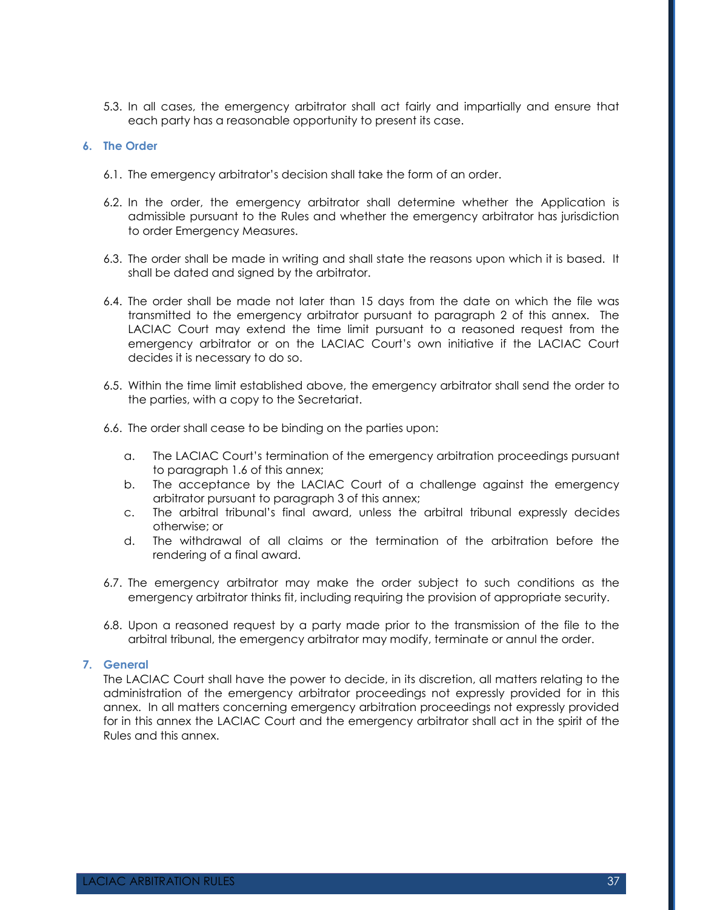5.3. In all cases, the emergency arbitrator shall act fairly and impartially and ensure that each party has a reasonable opportunity to present its case.

## **6. The Order**

- 6.1. The emergency arbitrator's decision shall take the form of an order.
- 6.2. In the order, the emergency arbitrator shall determine whether the Application is admissible pursuant to the Rules and whether the emergency arbitrator has jurisdiction to order Emergency Measures.
- 6.3. The order shall be made in writing and shall state the reasons upon which it is based. It shall be dated and signed by the arbitrator.
- 6.4. The order shall be made not later than 15 days from the date on which the file was transmitted to the emergency arbitrator pursuant to paragraph 2 of this annex. The LACIAC Court may extend the time limit pursuant to a reasoned request from the emergency arbitrator or on the LACIAC Court's own initiative if the LACIAC Court decides it is necessary to do so.
- 6.5. Within the time limit established above, the emergency arbitrator shall send the order to the parties, with a copy to the Secretariat.
- 6.6. The order shall cease to be binding on the parties upon:
	- a. The LACIAC Court's termination of the emergency arbitration proceedings pursuant to paragraph 1.6 of this annex;
	- b. The acceptance by the LACIAC Court of a challenge against the emergency arbitrator pursuant to paragraph 3 of this annex;
	- c. The arbitral tribunal's final award, unless the arbitral tribunal expressly decides otherwise; or
	- d. The withdrawal of all claims or the termination of the arbitration before the rendering of a final award.
- 6.7. The emergency arbitrator may make the order subject to such conditions as the emergency arbitrator thinks fit, including requiring the provision of appropriate security.
- 6.8. Upon a reasoned request by a party made prior to the transmission of the file to the arbitral tribunal, the emergency arbitrator may modify, terminate or annul the order.

## **7. General**

The LACIAC Court shall have the power to decide, in its discretion, all matters relating to the administration of the emergency arbitrator proceedings not expressly provided for in this annex. In all matters concerning emergency arbitration proceedings not expressly provided for in this annex the LACIAC Court and the emergency arbitrator shall act in the spirit of the Rules and this annex.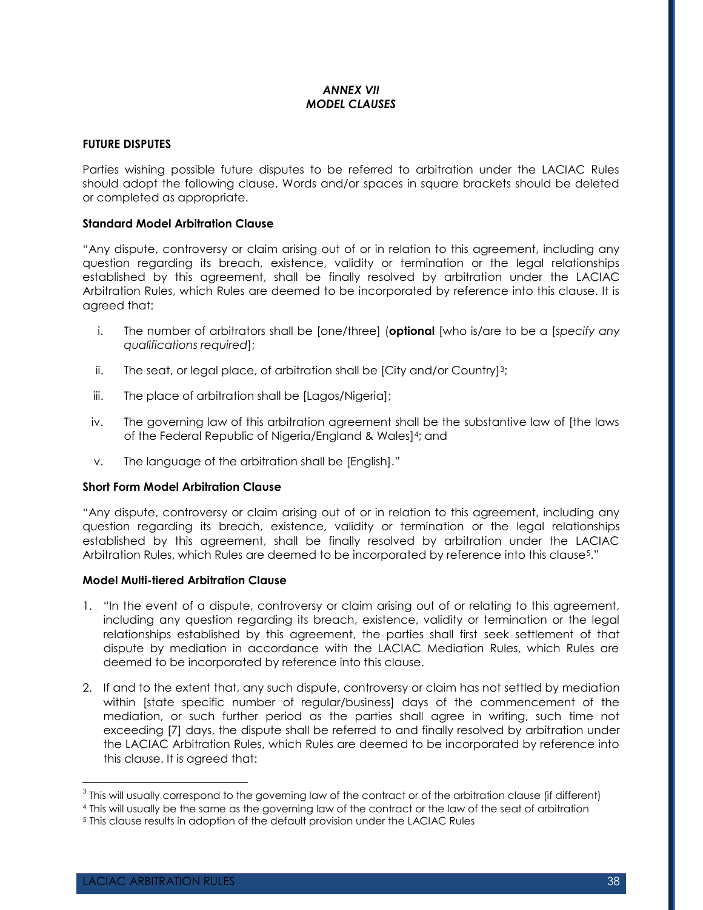## *ANNEX VII MODEL CLAUSES*

## **FUTURE DISPUTES**

Parties wishing possible future disputes to be referred to arbitration under the LACIAC Rules should adopt the following clause. Words and/or spaces in square brackets should be deleted or completed as appropriate.

## **Standard Model Arbitration Clause**

"Any dispute, controversy or claim arising out of or in relation to this agreement, including any question regarding its breach, existence, validity or termination or the legal relationships established by this agreement, shall be finally resolved by arbitration under the LACIAC Arbitration Rules, which Rules are deemed to be incorporated by reference into this clause. It is agreed that:

- i. The number of arbitrators shall be [one/three] (**optional** [who is/are to be a [*specify any qualifications required*];
- ii. The seat, or legal place, of arbitration shall be [City and/or Country]<sup>3</sup>;
- iii. The place of arbitration shall be [Lagos/Nigeria];
- iv. The governing law of this arbitration agreement shall be the substantive law of [the laws of the Federal Republic of Nigeria/England & Wales] <sup>4</sup>; and
- v. The language of the arbitration shall be [English]."

#### **Short Form Model Arbitration Clause**

"Any dispute, controversy or claim arising out of or in relation to this agreement, including any question regarding its breach, existence, validity or termination or the legal relationships established by this agreement, shall be finally resolved by arbitration under the LACIAC Arbitration Rules, which Rules are deemed to be incorporated by reference into this clause5."

#### **Model Multi-tiered Arbitration Clause**

- 1. "In the event of a dispute, controversy or claim arising out of or relating to this agreement, including any question regarding its breach, existence, validity or termination or the legal relationships established by this agreement, the parties shall first seek settlement of that dispute by mediation in accordance with the LACIAC Mediation Rules, which Rules are deemed to be incorporated by reference into this clause.
- 2. If and to the extent that, any such dispute, controversy or claim has not settled by mediation within [state specific number of regular/business] days of the commencement of the mediation, or such further period as the parties shall agree in writing, such time not exceeding [7] days, the dispute shall be referred to and finally resolved by arbitration under the LACIAC Arbitration Rules, which Rules are deemed to be incorporated by reference into this clause. It is agreed that:

 $\overline{a}$ 

 $^3$  This will usually correspond to the governing law of the contract or of the arbitration clause (if different)

<sup>4</sup> This will usually be the same as the governing law of the contract or the law of the seat of arbitration

<sup>5</sup> This clause results in adoption of the default provision under the LACIAC Rules